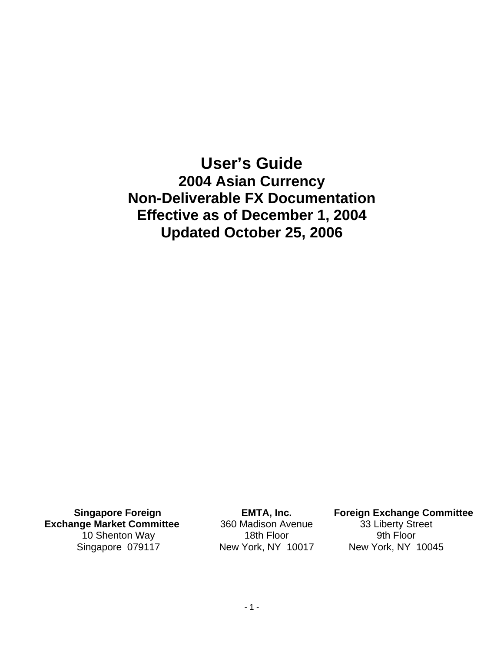**User's Guide 2004 Asian Currency Non-Deliverable FX Documentation Effective as of December 1, 2004 Updated October 25, 2006** 

**Singapore Foreign Exchange Market Committee**  10 Shenton Way Singapore 079117

**EMTA, Inc.**  360 Madison Avenue 18th Floor New York, NY 10017 **Foreign Exchange Committee**  33 Liberty Street 9th Floor New York, NY 10045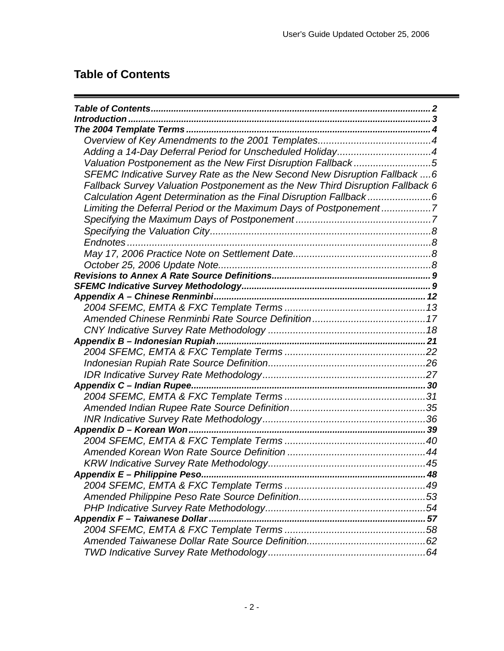# <span id="page-1-0"></span>**Table of Contents**

| Adding a 14-Day Deferral Period for Unscheduled Holiday4                      |
|-------------------------------------------------------------------------------|
| Valuation Postponement as the New First Disruption Fallback5                  |
| SFEMC Indicative Survey Rate as the New Second New Disruption Fallback  6     |
| Fallback Survey Valuation Postponement as the New Third Disruption Fallback 6 |
| Calculation Agent Determination as the Final Disruption Fallback 6            |
| Limiting the Deferral Period or the Maximum Days of Postponement7             |
|                                                                               |
|                                                                               |
|                                                                               |
|                                                                               |
|                                                                               |
|                                                                               |
|                                                                               |
|                                                                               |
|                                                                               |
|                                                                               |
|                                                                               |
|                                                                               |
|                                                                               |
|                                                                               |
|                                                                               |
|                                                                               |
|                                                                               |
|                                                                               |
|                                                                               |
|                                                                               |
|                                                                               |
|                                                                               |
|                                                                               |
|                                                                               |
|                                                                               |
|                                                                               |
|                                                                               |
|                                                                               |
|                                                                               |
|                                                                               |
|                                                                               |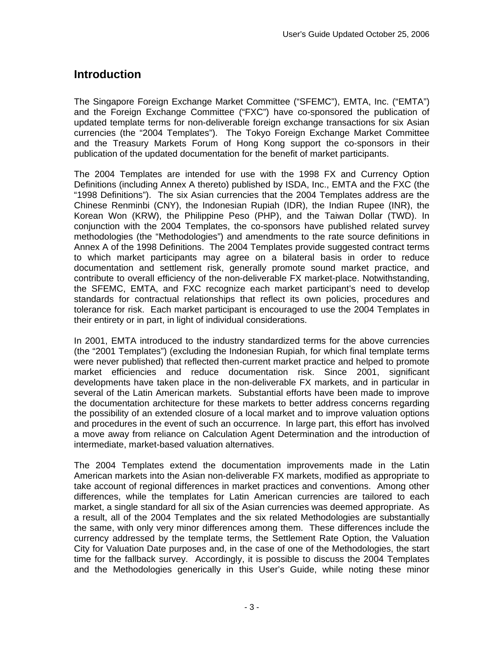# <span id="page-2-0"></span>**Introduction**

The Singapore Foreign Exchange Market Committee ("SFEMC"), EMTA, Inc. ("EMTA") and the Foreign Exchange Committee ("FXC") have co-sponsored the publication of updated template terms for non-deliverable foreign exchange transactions for six Asian currencies (the "2004 Templates"). The Tokyo Foreign Exchange Market Committee and the Treasury Markets Forum of Hong Kong support the co-sponsors in their publication of the updated documentation for the benefit of market participants.

The 2004 Templates are intended for use with the 1998 FX and Currency Option Definitions (including Annex A thereto) published by ISDA, Inc., EMTA and the FXC (the "1998 Definitions"). The six Asian currencies that the 2004 Templates address are the Chinese Renminbi (CNY), the Indonesian Rupiah (IDR), the Indian Rupee (INR), the Korean Won (KRW), the Philippine Peso (PHP), and the Taiwan Dollar (TWD). In conjunction with the 2004 Templates, the co-sponsors have published related survey methodologies (the "Methodologies") and amendments to the rate source definitions in Annex A of the 1998 Definitions. The 2004 Templates provide suggested contract terms to which market participants may agree on a bilateral basis in order to reduce documentation and settlement risk, generally promote sound market practice, and contribute to overall efficiency of the non-deliverable FX market-place. Notwithstanding, the SFEMC, EMTA, and FXC recognize each market participant's need to develop standards for contractual relationships that reflect its own policies, procedures and tolerance for risk. Each market participant is encouraged to use the 2004 Templates in their entirety or in part, in light of individual considerations.

In 2001, EMTA introduced to the industry standardized terms for the above currencies (the "2001 Templates") (excluding the Indonesian Rupiah, for which final template terms were never published) that reflected then-current market practice and helped to promote market efficiencies and reduce documentation risk. Since 2001, significant developments have taken place in the non-deliverable FX markets, and in particular in several of the Latin American markets. Substantial efforts have been made to improve the documentation architecture for these markets to better address concerns regarding the possibility of an extended closure of a local market and to improve valuation options and procedures in the event of such an occurrence. In large part, this effort has involved a move away from reliance on Calculation Agent Determination and the introduction of intermediate, market-based valuation alternatives.

The 2004 Templates extend the documentation improvements made in the Latin American markets into the Asian non-deliverable FX markets, modified as appropriate to take account of regional differences in market practices and conventions. Among other differences, while the templates for Latin American currencies are tailored to each market, a single standard for all six of the Asian currencies was deemed appropriate. As a result, all of the 2004 Templates and the six related Methodologies are substantially the same, with only very minor differences among them. These differences include the currency addressed by the template terms, the Settlement Rate Option, the Valuation City for Valuation Date purposes and, in the case of one of the Methodologies, the start time for the fallback survey. Accordingly, it is possible to discuss the 2004 Templates and the Methodologies generically in this User's Guide, while noting these minor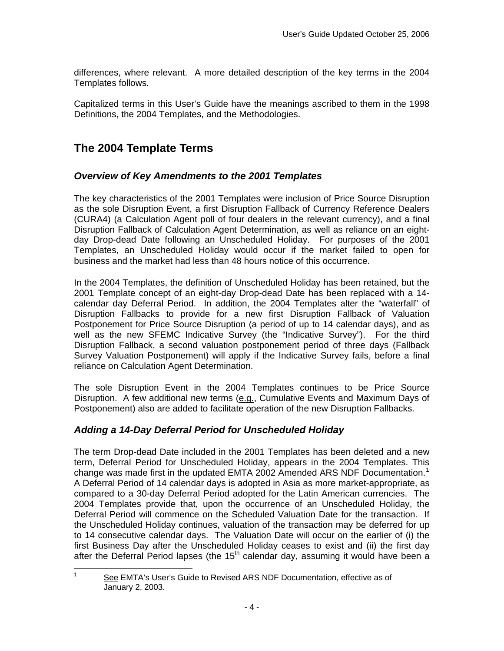<span id="page-3-0"></span>differences, where relevant. A more detailed description of the key terms in the 2004 Templates follows.

Capitalized terms in this User's Guide have the meanings ascribed to them in the 1998 Definitions, the 2004 Templates, and the Methodologies.

# **The 2004 Template Terms**

# *Overview of Key Amendments to the 2001 Templates*

The key characteristics of the 2001 Templates were inclusion of Price Source Disruption as the sole Disruption Event, a first Disruption Fallback of Currency Reference Dealers (CURA4) (a Calculation Agent poll of four dealers in the relevant currency), and a final Disruption Fallback of Calculation Agent Determination, as well as reliance on an eightday Drop-dead Date following an Unscheduled Holiday. For purposes of the 2001 Templates, an Unscheduled Holiday would occur if the market failed to open for business and the market had less than 48 hours notice of this occurrence.

In the 2004 Templates, the definition of Unscheduled Holiday has been retained, but the 2001 Template concept of an eight-day Drop-dead Date has been replaced with a 14 calendar day Deferral Period. In addition, the 2004 Templates alter the "waterfall" of Disruption Fallbacks to provide for a new first Disruption Fallback of Valuation Postponement for Price Source Disruption (a period of up to 14 calendar days), and as well as the new SFEMC Indicative Survey (the "Indicative Survey"). For the third Disruption Fallback, a second valuation postponement period of three days (Fallback Survey Valuation Postponement) will apply if the Indicative Survey fails, before a final reliance on Calculation Agent Determination.

The sole Disruption Event in the 2004 Templates continues to be Price Source Disruption. A few additional new terms (e.g., Cumulative Events and Maximum Days of Postponement) also are added to facilitate operation of the new Disruption Fallbacks.

# *Adding a 14-Day Deferral Period for Unscheduled Holiday*

The term Drop-dead Date included in the 2001 Templates has been deleted and a new term, Deferral Period for Unscheduled Holiday, appears in the 2004 Templates. This change was made first in the updated EMTA 2002 Amended ARS NDF Documentation.<sup>[1](#page-3-1)</sup> A Deferral Period of 14 calendar days is adopted in Asia as more market-appropriate, as compared to a 30-day Deferral Period adopted for the Latin American currencies. The 2004 Templates provide that, upon the occurrence of an Unscheduled Holiday, the Deferral Period will commence on the Scheduled Valuation Date for the transaction. If the Unscheduled Holiday continues, valuation of the transaction may be deferred for up to 14 consecutive calendar days. The Valuation Date will occur on the earlier of (i) the first Business Day after the Unscheduled Holiday ceases to exist and (ii) the first day after the Deferral Period lapses (the 15<sup>th</sup> calendar day, assuming it would have been a

<span id="page-3-1"></span> $\mathbf{1}$ 

See EMTA's User's Guide to Revised ARS NDF Documentation, effective as of January 2, 2003.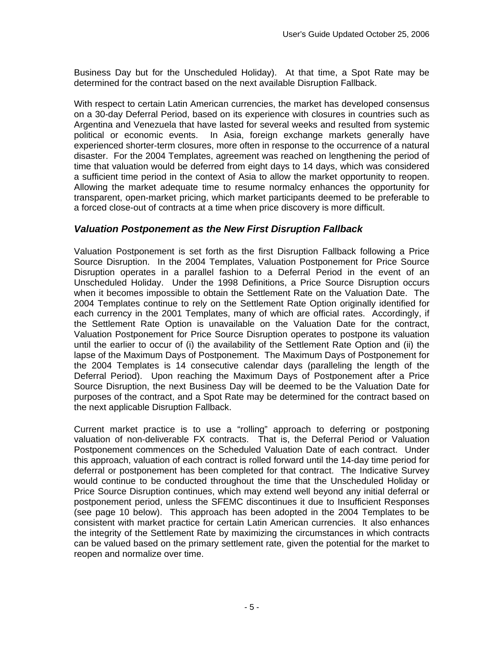<span id="page-4-0"></span>Business Day but for the Unscheduled Holiday). At that time, a Spot Rate may be determined for the contract based on the next available Disruption Fallback.

With respect to certain Latin American currencies, the market has developed consensus on a 30-day Deferral Period, based on its experience with closures in countries such as Argentina and Venezuela that have lasted for several weeks and resulted from systemic political or economic events. In Asia, foreign exchange markets generally have experienced shorter-term closures, more often in response to the occurrence of a natural disaster. For the 2004 Templates, agreement was reached on lengthening the period of time that valuation would be deferred from eight days to 14 days, which was considered a sufficient time period in the context of Asia to allow the market opportunity to reopen. Allowing the market adequate time to resume normalcy enhances the opportunity for transparent, open-market pricing, which market participants deemed to be preferable to a forced close-out of contracts at a time when price discovery is more difficult.

## *Valuation Postponement as the New First Disruption Fallback*

Valuation Postponement is set forth as the first Disruption Fallback following a Price Source Disruption. In the 2004 Templates, Valuation Postponement for Price Source Disruption operates in a parallel fashion to a Deferral Period in the event of an Unscheduled Holiday. Under the 1998 Definitions, a Price Source Disruption occurs when it becomes impossible to obtain the Settlement Rate on the Valuation Date. The 2004 Templates continue to rely on the Settlement Rate Option originally identified for each currency in the 2001 Templates, many of which are official rates. Accordingly, if the Settlement Rate Option is unavailable on the Valuation Date for the contract, Valuation Postponement for Price Source Disruption operates to postpone its valuation until the earlier to occur of (i) the availability of the Settlement Rate Option and (ii) the lapse of the Maximum Days of Postponement. The Maximum Days of Postponement for the 2004 Templates is 14 consecutive calendar days (paralleling the length of the Deferral Period). Upon reaching the Maximum Days of Postponement after a Price Source Disruption, the next Business Day will be deemed to be the Valuation Date for purposes of the contract, and a Spot Rate may be determined for the contract based on the next applicable Disruption Fallback.

Current market practice is to use a "rolling" approach to deferring or postponing valuation of non-deliverable FX contracts. That is, the Deferral Period or Valuation Postponement commences on the Scheduled Valuation Date of each contract. Under this approach, valuation of each contract is rolled forward until the 14-day time period for deferral or postponement has been completed for that contract. The Indicative Survey would continue to be conducted throughout the time that the Unscheduled Holiday or Price Source Disruption continues, which may extend well beyond any initial deferral or postponement period, unless the SFEMC discontinues it due to Insufficient Responses (see page 10 below). This approach has been adopted in the 2004 Templates to be consistent with market practice for certain Latin American currencies. It also enhances the integrity of the Settlement Rate by maximizing the circumstances in which contracts can be valued based on the primary settlement rate, given the potential for the market to reopen and normalize over time.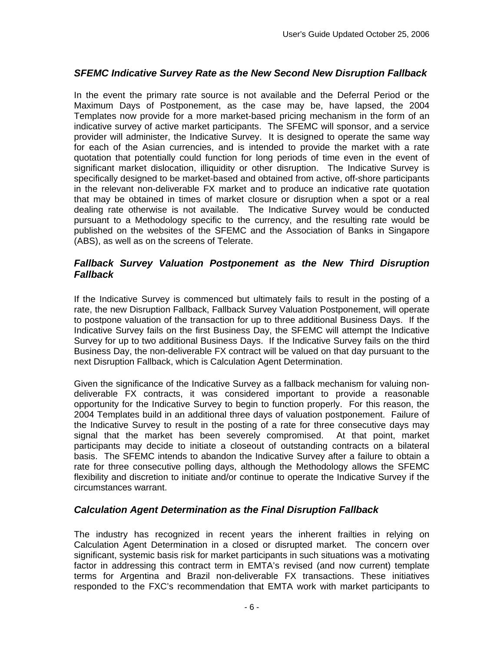# <span id="page-5-0"></span>*SFEMC Indicative Survey Rate as the New Second New Disruption Fallback*

In the event the primary rate source is not available and the Deferral Period or the Maximum Days of Postponement, as the case may be, have lapsed, the 2004 Templates now provide for a more market-based pricing mechanism in the form of an indicative survey of active market participants. The SFEMC will sponsor, and a service provider will administer, the Indicative Survey. It is designed to operate the same way for each of the Asian currencies, and is intended to provide the market with a rate quotation that potentially could function for long periods of time even in the event of significant market dislocation, illiquidity or other disruption. The Indicative Survey is specifically designed to be market-based and obtained from active, off-shore participants in the relevant non-deliverable FX market and to produce an indicative rate quotation that may be obtained in times of market closure or disruption when a spot or a real dealing rate otherwise is not available. The Indicative Survey would be conducted pursuant to a Methodology specific to the currency, and the resulting rate would be published on the websites of the SFEMC and the Association of Banks in Singapore (ABS), as well as on the screens of Telerate.

#### *Fallback Survey Valuation Postponement as the New Third Disruption Fallback*

If the Indicative Survey is commenced but ultimately fails to result in the posting of a rate, the new Disruption Fallback, Fallback Survey Valuation Postponement, will operate to postpone valuation of the transaction for up to three additional Business Days. If the Indicative Survey fails on the first Business Day, the SFEMC will attempt the Indicative Survey for up to two additional Business Days. If the Indicative Survey fails on the third Business Day, the non-deliverable FX contract will be valued on that day pursuant to the next Disruption Fallback, which is Calculation Agent Determination.

Given the significance of the Indicative Survey as a fallback mechanism for valuing nondeliverable FX contracts, it was considered important to provide a reasonable opportunity for the Indicative Survey to begin to function properly. For this reason, the 2004 Templates build in an additional three days of valuation postponement. Failure of the Indicative Survey to result in the posting of a rate for three consecutive days may signal that the market has been severely compromised. At that point, market participants may decide to initiate a closeout of outstanding contracts on a bilateral basis. The SFEMC intends to abandon the Indicative Survey after a failure to obtain a rate for three consecutive polling days, although the Methodology allows the SFEMC flexibility and discretion to initiate and/or continue to operate the Indicative Survey if the circumstances warrant.

## *Calculation Agent Determination as the Final Disruption Fallback*

The industry has recognized in recent years the inherent frailties in relying on Calculation Agent Determination in a closed or disrupted market. The concern over significant, systemic basis risk for market participants in such situations was a motivating factor in addressing this contract term in EMTA's revised (and now current) template terms for Argentina and Brazil non-deliverable FX transactions. These initiatives responded to the FXC's recommendation that EMTA work with market participants to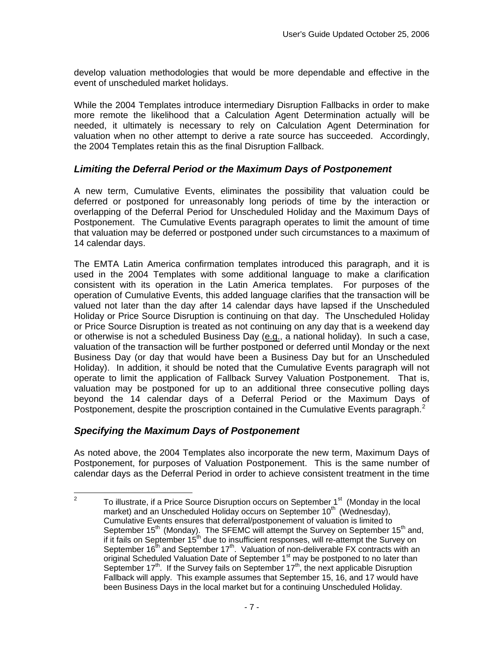<span id="page-6-0"></span>develop valuation methodologies that would be more dependable and effective in the event of unscheduled market holidays.

While the 2004 Templates introduce intermediary Disruption Fallbacks in order to make more remote the likelihood that a Calculation Agent Determination actually will be needed, it ultimately is necessary to rely on Calculation Agent Determination for valuation when no other attempt to derive a rate source has succeeded. Accordingly, the 2004 Templates retain this as the final Disruption Fallback.

# *Limiting the Deferral Period or the Maximum Days of Postponement*

A new term, Cumulative Events, eliminates the possibility that valuation could be deferred or postponed for unreasonably long periods of time by the interaction or overlapping of the Deferral Period for Unscheduled Holiday and the Maximum Days of Postponement. The Cumulative Events paragraph operates to limit the amount of time that valuation may be deferred or postponed under such circumstances to a maximum of 14 calendar days.

The EMTA Latin America confirmation templates introduced this paragraph, and it is used in the 2004 Templates with some additional language to make a clarification consistent with its operation in the Latin America templates. For purposes of the operation of Cumulative Events, this added language clarifies that the transaction will be valued not later than the day after 14 calendar days have lapsed if the Unscheduled Holiday or Price Source Disruption is continuing on that day. The Unscheduled Holiday or Price Source Disruption is treated as not continuing on any day that is a weekend day or otherwise is not a scheduled Business Day  $(e.g., a$  national holiday). In such a case, valuation of the transaction will be further postponed or deferred until Monday or the next Business Day (or day that would have been a Business Day but for an Unscheduled Holiday). In addition, it should be noted that the Cumulative Events paragraph will not operate to limit the application of Fallback Survey Valuation Postponement. That is, valuation may be postponed for up to an additional three consecutive polling days beyond the 14 calendar days of a Deferral Period or the Maximum Days of Postponement, despite the proscription contained in the Cumulative Events paragraph. $2$ 

# *Specifying the Maximum Days of Postponement*

As noted above, the 2004 Templates also incorporate the new term, Maximum Days of Postponement, for purposes of Valuation Postponement. This is the same number of calendar days as the Deferral Period in order to achieve consistent treatment in the time

<span id="page-6-1"></span> $\frac{1}{2}$ To illustrate, if a Price Source Disruption occurs on September 1<sup>st</sup> (Monday in the local market) and an Unscheduled Holiday occurs on September 10<sup>th</sup> (Wednesday), Cumulative Events ensures that deferral/postponement of valuation is limited to September 15<sup>th</sup> (Monday). The SFEMC will attempt the Survey on September 15<sup>th</sup> and, if it fails on September  $15<sup>th</sup>$  due to insufficient responses, will re-attempt the Survey on September  $16<sup>th</sup>$  and September  $17<sup>th</sup>$ . Valuation of non-deliverable FX contracts with an original Scheduled Valuation Date of September 1<sup>st</sup> may be postponed to no later than September  $17<sup>th</sup>$ . If the Survey fails on September  $17<sup>th</sup>$ , the next applicable Disruption Fallback will apply. This example assumes that September 15, 16, and 17 would have been Business Days in the local market but for a continuing Unscheduled Holiday.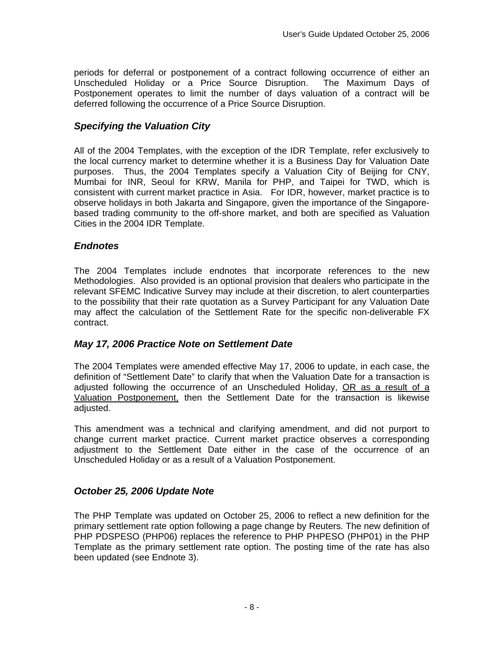<span id="page-7-0"></span>periods for deferral or postponement of a contract following occurrence of either an Unscheduled Holiday or a Price Source Disruption. The Maximum Days of Postponement operates to limit the number of days valuation of a contract will be deferred following the occurrence of a Price Source Disruption.

# *Specifying the Valuation City*

All of the 2004 Templates, with the exception of the IDR Template, refer exclusively to the local currency market to determine whether it is a Business Day for Valuation Date purposes. Thus, the 2004 Templates specify a Valuation City of Beijing for CNY, Mumbai for INR, Seoul for KRW, Manila for PHP, and Taipei for TWD, which is consistent with current market practice in Asia. For IDR, however, market practice is to observe holidays in both Jakarta and Singapore, given the importance of the Singaporebased trading community to the off-shore market, and both are specified as Valuation Cities in the 2004 IDR Template.

## *Endnotes*

The 2004 Templates include endnotes that incorporate references to the new Methodologies. Also provided is an optional provision that dealers who participate in the relevant SFEMC Indicative Survey may include at their discretion, to alert counterparties to the possibility that their rate quotation as a Survey Participant for any Valuation Date may affect the calculation of the Settlement Rate for the specific non-deliverable FX contract.

## *May 17, 2006 Practice Note on Settlement Date*

The 2004 Templates were amended effective May 17, 2006 to update, in each case, the definition of "Settlement Date" to clarify that when the Valuation Date for a transaction is adjusted following the occurrence of an Unscheduled Holiday, OR as a result of a Valuation Postponement, then the Settlement Date for the transaction is likewise adiusted.

This amendment was a technical and clarifying amendment, and did not purport to change current market practice. Current market practice observes a corresponding adjustment to the Settlement Date either in the case of the occurrence of an Unscheduled Holiday or as a result of a Valuation Postponement.

## *October 25, 2006 Update Note*

The PHP Template was updated on October 25, 2006 to reflect a new definition for the primary settlement rate option following a page change by Reuters. The new definition of PHP PDSPESO (PHP06) replaces the reference to PHP PHPESO (PHP01) in the PHP Template as the primary settlement rate option. The posting time of the rate has also been updated (see Endnote 3).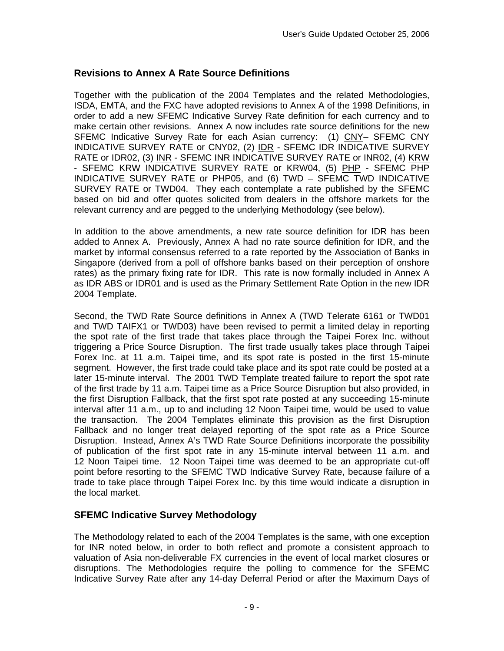# <span id="page-8-0"></span>**Revisions to Annex A Rate Source Definitions**

Together with the publication of the 2004 Templates and the related Methodologies, ISDA, EMTA, and the FXC have adopted revisions to Annex A of the 1998 Definitions, in order to add a new SFEMC Indicative Survey Rate definition for each currency and to make certain other revisions. Annex A now includes rate source definitions for the new SFEMC Indicative Survey Rate for each Asian currency: (1) CNY– SFEMC CNY INDICATIVE SURVEY RATE or CNY02, (2) IDR - SFEMC IDR INDICATIVE SURVEY RATE or IDR02, (3) INR - SFEMC INR INDICATIVE SURVEY RATE or INR02, (4) KRW - SFEMC KRW INDICATIVE SURVEY RATE or KRW04, (5) PHP - SFEMC PHP INDICATIVE SURVEY RATE or PHP05, and (6) TWD – SFEMC TWD INDICATIVE SURVEY RATE or TWD04. They each contemplate a rate published by the SFEMC based on bid and offer quotes solicited from dealers in the offshore markets for the relevant currency and are pegged to the underlying Methodology (see below).

In addition to the above amendments, a new rate source definition for IDR has been added to Annex A. Previously, Annex A had no rate source definition for IDR, and the market by informal consensus referred to a rate reported by the Association of Banks in Singapore (derived from a poll of offshore banks based on their perception of onshore rates) as the primary fixing rate for IDR. This rate is now formally included in Annex A as IDR ABS or IDR01 and is used as the Primary Settlement Rate Option in the new IDR 2004 Template.

Second, the TWD Rate Source definitions in Annex A (TWD Telerate 6161 or TWD01 and TWD TAIFX1 or TWD03) have been revised to permit a limited delay in reporting the spot rate of the first trade that takes place through the Taipei Forex Inc. without triggering a Price Source Disruption. The first trade usually takes place through Taipei Forex Inc. at 11 a.m. Taipei time, and its spot rate is posted in the first 15-minute segment. However, the first trade could take place and its spot rate could be posted at a later 15-minute interval. The 2001 TWD Template treated failure to report the spot rate of the first trade by 11 a.m. Taipei time as a Price Source Disruption but also provided, in the first Disruption Fallback, that the first spot rate posted at any succeeding 15-minute interval after 11 a.m., up to and including 12 Noon Taipei time, would be used to value the transaction. The 2004 Templates eliminate this provision as the first Disruption Fallback and no longer treat delayed reporting of the spot rate as a Price Source Disruption. Instead, Annex A's TWD Rate Source Definitions incorporate the possibility of publication of the first spot rate in any 15-minute interval between 11 a.m. and 12 Noon Taipei time. 12 Noon Taipei time was deemed to be an appropriate cut-off point before resorting to the SFEMC TWD Indicative Survey Rate, because failure of a trade to take place through Taipei Forex Inc. by this time would indicate a disruption in the local market.

## **SFEMC Indicative Survey Methodology**

The Methodology related to each of the 2004 Templates is the same, with one exception for INR noted below, in order to both reflect and promote a consistent approach to valuation of Asia non-deliverable FX currencies in the event of local market closures or disruptions. The Methodologies require the polling to commence for the SFEMC Indicative Survey Rate after any 14-day Deferral Period or after the Maximum Days of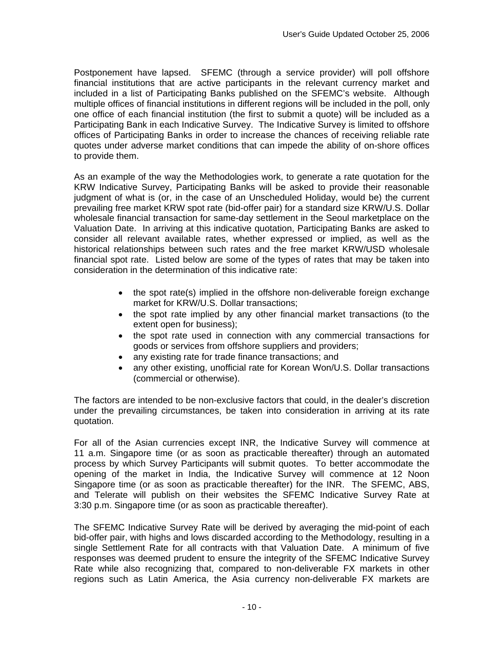Postponement have lapsed. SFEMC (through a service provider) will poll offshore financial institutions that are active participants in the relevant currency market and included in a list of Participating Banks published on the SFEMC's website. Although multiple offices of financial institutions in different regions will be included in the poll, only one office of each financial institution (the first to submit a quote) will be included as a Participating Bank in each Indicative Survey. The Indicative Survey is limited to offshore offices of Participating Banks in order to increase the chances of receiving reliable rate quotes under adverse market conditions that can impede the ability of on-shore offices to provide them.

As an example of the way the Methodologies work, to generate a rate quotation for the KRW Indicative Survey, Participating Banks will be asked to provide their reasonable judgment of what is (or, in the case of an Unscheduled Holiday, would be) the current prevailing free market KRW spot rate (bid-offer pair) for a standard size KRW/U.S. Dollar wholesale financial transaction for same-day settlement in the Seoul marketplace on the Valuation Date. In arriving at this indicative quotation, Participating Banks are asked to consider all relevant available rates, whether expressed or implied, as well as the historical relationships between such rates and the free market KRW/USD wholesale financial spot rate. Listed below are some of the types of rates that may be taken into consideration in the determination of this indicative rate:

- the spot rate(s) implied in the offshore non-deliverable foreign exchange market for KRW/U.S. Dollar transactions;
- the spot rate implied by any other financial market transactions (to the extent open for business);
- the spot rate used in connection with any commercial transactions for goods or services from offshore suppliers and providers;
- any existing rate for trade finance transactions; and
- any other existing, unofficial rate for Korean Won/U.S. Dollar transactions (commercial or otherwise).

The factors are intended to be non-exclusive factors that could, in the dealer's discretion under the prevailing circumstances, be taken into consideration in arriving at its rate quotation.

For all of the Asian currencies except INR, the Indicative Survey will commence at 11 a.m. Singapore time (or as soon as practicable thereafter) through an automated process by which Survey Participants will submit quotes. To better accommodate the opening of the market in India, the Indicative Survey will commence at 12 Noon Singapore time (or as soon as practicable thereafter) for the INR. The SFEMC, ABS, and Telerate will publish on their websites the SFEMC Indicative Survey Rate at 3:30 p.m. Singapore time (or as soon as practicable thereafter).

The SFEMC Indicative Survey Rate will be derived by averaging the mid-point of each bid-offer pair, with highs and lows discarded according to the Methodology, resulting in a single Settlement Rate for all contracts with that Valuation Date. A minimum of five responses was deemed prudent to ensure the integrity of the SFEMC Indicative Survey Rate while also recognizing that, compared to non-deliverable FX markets in other regions such as Latin America, the Asia currency non-deliverable FX markets are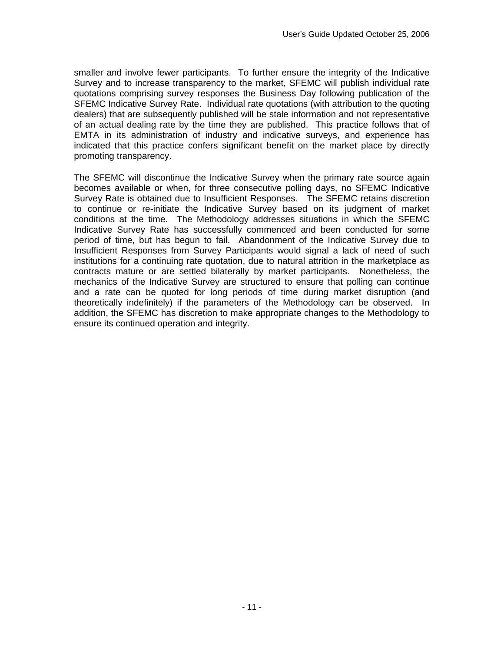smaller and involve fewer participants. To further ensure the integrity of the Indicative Survey and to increase transparency to the market, SFEMC will publish individual rate quotations comprising survey responses the Business Day following publication of the SFEMC Indicative Survey Rate. Individual rate quotations (with attribution to the quoting dealers) that are subsequently published will be stale information and not representative of an actual dealing rate by the time they are published. This practice follows that of EMTA in its administration of industry and indicative surveys, and experience has indicated that this practice confers significant benefit on the market place by directly promoting transparency.

The SFEMC will discontinue the Indicative Survey when the primary rate source again becomes available or when, for three consecutive polling days, no SFEMC Indicative Survey Rate is obtained due to Insufficient Responses. The SFEMC retains discretion to continue or re-initiate the Indicative Survey based on its judgment of market conditions at the time. The Methodology addresses situations in which the SFEMC Indicative Survey Rate has successfully commenced and been conducted for some period of time, but has begun to fail. Abandonment of the Indicative Survey due to Insufficient Responses from Survey Participants would signal a lack of need of such institutions for a continuing rate quotation, due to natural attrition in the marketplace as contracts mature or are settled bilaterally by market participants. Nonetheless, the mechanics of the Indicative Survey are structured to ensure that polling can continue and a rate can be quoted for long periods of time during market disruption (and theoretically indefinitely) if the parameters of the Methodology can be observed. In addition, the SFEMC has discretion to make appropriate changes to the Methodology to ensure its continued operation and integrity.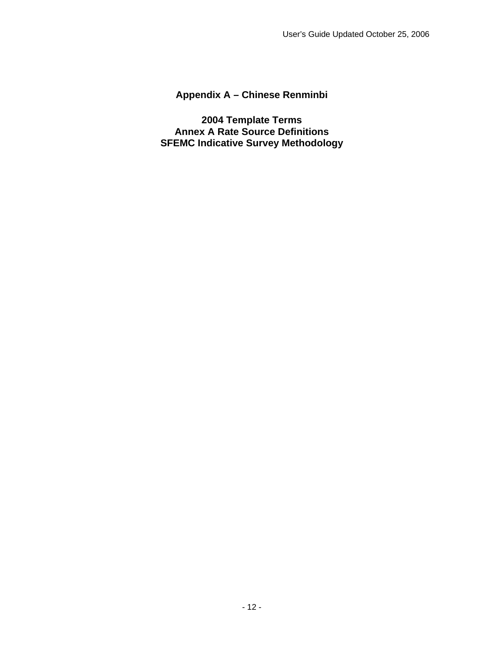<span id="page-11-0"></span>**Appendix A – Chinese Renminbi** 

**2004 Template Terms Annex A Rate Source Definitions SFEMC Indicative Survey Methodology**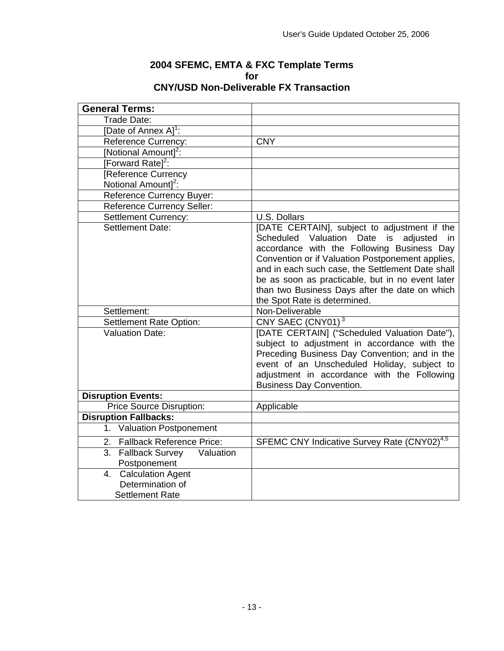## **2004 SFEMC, EMTA & FXC Template Terms for CNY/USD Non-Deliverable FX Transaction**

<span id="page-12-0"></span>

| <b>General Terms:</b>                                    |                                                                                            |
|----------------------------------------------------------|--------------------------------------------------------------------------------------------|
| Trade Date:                                              |                                                                                            |
| [Date of Annex A] <sup>1</sup> :                         |                                                                                            |
| <b>Reference Currency:</b>                               | <b>CNY</b>                                                                                 |
| [Notional Amount] <sup>2</sup> :                         |                                                                                            |
| [Forward Rate] <sup>2</sup> :                            |                                                                                            |
| Reference Currency                                       |                                                                                            |
| Notional Amount] <sup>2</sup> :                          |                                                                                            |
| Reference Currency Buyer:                                |                                                                                            |
| <b>Reference Currency Seller:</b>                        |                                                                                            |
| <b>Settlement Currency:</b>                              | U.S. Dollars                                                                               |
| Settlement Date:                                         | [DATE CERTAIN], subject to adjustment if the<br>Scheduled Valuation Date is<br>adjusted in |
|                                                          | accordance with the Following Business Day                                                 |
|                                                          | Convention or if Valuation Postponement applies,                                           |
|                                                          | and in each such case, the Settlement Date shall                                           |
|                                                          | be as soon as practicable, but in no event later                                           |
|                                                          | than two Business Days after the date on which                                             |
|                                                          | the Spot Rate is determined.                                                               |
| Settlement:                                              | Non-Deliverable                                                                            |
| Settlement Rate Option:                                  | CNY SAEC (CNY01) <sup>3</sup>                                                              |
| <b>Valuation Date:</b>                                   | [DATE CERTAIN] ("Scheduled Valuation Date"),                                               |
|                                                          | subject to adjustment in accordance with the                                               |
|                                                          | Preceding Business Day Convention; and in the                                              |
|                                                          | event of an Unscheduled Holiday, subject to                                                |
|                                                          | adjustment in accordance with the Following                                                |
|                                                          | <b>Business Day Convention.</b>                                                            |
| <b>Disruption Events:</b>                                |                                                                                            |
| Price Source Disruption:<br><b>Disruption Fallbacks:</b> | Applicable                                                                                 |
| 1. Valuation Postponement                                |                                                                                            |
|                                                          |                                                                                            |
| <b>Fallback Reference Price:</b><br>2.                   | SFEMC CNY Indicative Survey Rate (CNY02)4,5                                                |
| 3. Fallback Survey<br>Valuation<br>Postponement          |                                                                                            |
| 4. Calculation Agent                                     |                                                                                            |
| Determination of                                         |                                                                                            |
| <b>Settlement Rate</b>                                   |                                                                                            |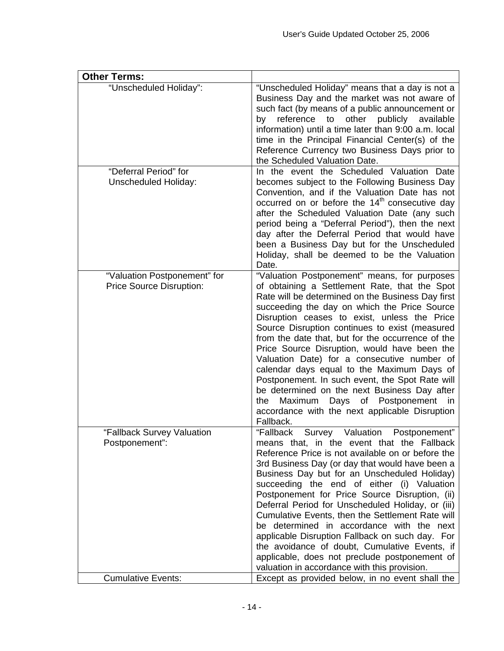| <b>Other Terms:</b>                                             |                                                                                                                                                                                                                                                                                                                                                                                                                                                                                                                                                                                                                                                                                                                           |
|-----------------------------------------------------------------|---------------------------------------------------------------------------------------------------------------------------------------------------------------------------------------------------------------------------------------------------------------------------------------------------------------------------------------------------------------------------------------------------------------------------------------------------------------------------------------------------------------------------------------------------------------------------------------------------------------------------------------------------------------------------------------------------------------------------|
| "Unscheduled Holiday":                                          | "Unscheduled Holiday" means that a day is not a<br>Business Day and the market was not aware of<br>such fact (by means of a public announcement or<br>to<br>other<br>publicly<br>by<br>reference<br>available<br>information) until a time later than 9:00 a.m. local<br>time in the Principal Financial Center(s) of the<br>Reference Currency two Business Days prior to<br>the Scheduled Valuation Date.                                                                                                                                                                                                                                                                                                               |
| "Deferral Period" for<br><b>Unscheduled Holiday:</b>            | In the event the Scheduled Valuation Date<br>becomes subject to the Following Business Day<br>Convention, and if the Valuation Date has not<br>occurred on or before the 14 <sup>th</sup> consecutive day<br>after the Scheduled Valuation Date (any such<br>period being a "Deferral Period"), then the next<br>day after the Deferral Period that would have<br>been a Business Day but for the Unscheduled<br>Holiday, shall be deemed to be the Valuation<br>Date.                                                                                                                                                                                                                                                    |
| "Valuation Postponement" for<br><b>Price Source Disruption:</b> | "Valuation Postponement" means, for purposes<br>of obtaining a Settlement Rate, that the Spot<br>Rate will be determined on the Business Day first<br>succeeding the day on which the Price Source<br>Disruption ceases to exist, unless the Price<br>Source Disruption continues to exist (measured<br>from the date that, but for the occurrence of the<br>Price Source Disruption, would have been the<br>Valuation Date) for a consecutive number of<br>calendar days equal to the Maximum Days of<br>Postponement. In such event, the Spot Rate will<br>be determined on the next Business Day after<br>Days of Postponement<br>the<br>Maximum<br>in.<br>accordance with the next applicable Disruption<br>Fallback. |
| "Fallback Survey Valuation<br>Postponement":                    | "Fallback<br>Valuation<br>Survey<br>Postponement"<br>means that, in the event that the Fallback<br>Reference Price is not available on or before the<br>3rd Business Day (or day that would have been a<br>Business Day but for an Unscheduled Holiday)<br>succeeding the end of either (i) Valuation<br>Postponement for Price Source Disruption, (ii)<br>Deferral Period for Unscheduled Holiday, or (iii)<br>Cumulative Events, then the Settlement Rate will<br>be determined in accordance with the next<br>applicable Disruption Fallback on such day. For<br>the avoidance of doubt, Cumulative Events, if<br>applicable, does not preclude postponement of                                                        |
| <b>Cumulative Events:</b>                                       | valuation in accordance with this provision.<br>Except as provided below, in no event shall the                                                                                                                                                                                                                                                                                                                                                                                                                                                                                                                                                                                                                           |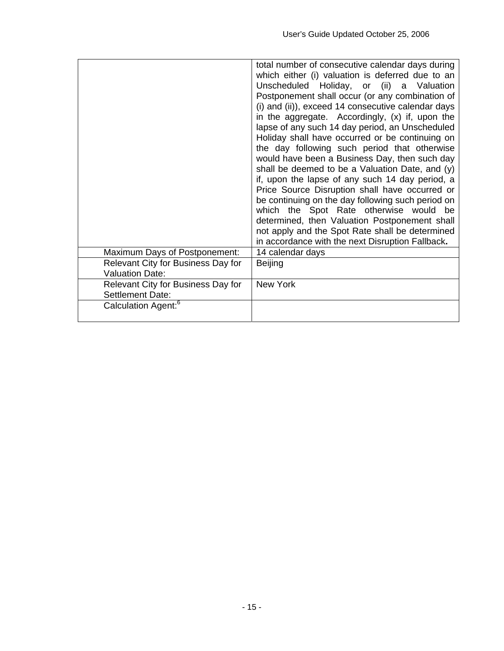|                                                              | total number of consecutive calendar days during<br>which either (i) valuation is deferred due to an<br>Unscheduled Holiday, or (ii) a Valuation<br>Postponement shall occur (or any combination of<br>(i) and (ii)), exceed 14 consecutive calendar days<br>in the aggregate. Accordingly, (x) if, upon the<br>lapse of any such 14 day period, an Unscheduled<br>Holiday shall have occurred or be continuing on<br>the day following such period that otherwise<br>would have been a Business Day, then such day<br>shall be deemed to be a Valuation Date, and (y)<br>if, upon the lapse of any such 14 day period, a<br>Price Source Disruption shall have occurred or<br>be continuing on the day following such period on<br>which the Spot Rate otherwise would be<br>determined, then Valuation Postponement shall |
|--------------------------------------------------------------|-----------------------------------------------------------------------------------------------------------------------------------------------------------------------------------------------------------------------------------------------------------------------------------------------------------------------------------------------------------------------------------------------------------------------------------------------------------------------------------------------------------------------------------------------------------------------------------------------------------------------------------------------------------------------------------------------------------------------------------------------------------------------------------------------------------------------------|
|                                                              | not apply and the Spot Rate shall be determined<br>in accordance with the next Disruption Fallback.                                                                                                                                                                                                                                                                                                                                                                                                                                                                                                                                                                                                                                                                                                                         |
| Maximum Days of Postponement:                                | 14 calendar days                                                                                                                                                                                                                                                                                                                                                                                                                                                                                                                                                                                                                                                                                                                                                                                                            |
| Relevant City for Business Day for<br><b>Valuation Date:</b> | <b>Beijing</b>                                                                                                                                                                                                                                                                                                                                                                                                                                                                                                                                                                                                                                                                                                                                                                                                              |
| Relevant City for Business Day for<br>Settlement Date:       | New York                                                                                                                                                                                                                                                                                                                                                                                                                                                                                                                                                                                                                                                                                                                                                                                                                    |
| Calculation Agent: <sup>6</sup>                              |                                                                                                                                                                                                                                                                                                                                                                                                                                                                                                                                                                                                                                                                                                                                                                                                                             |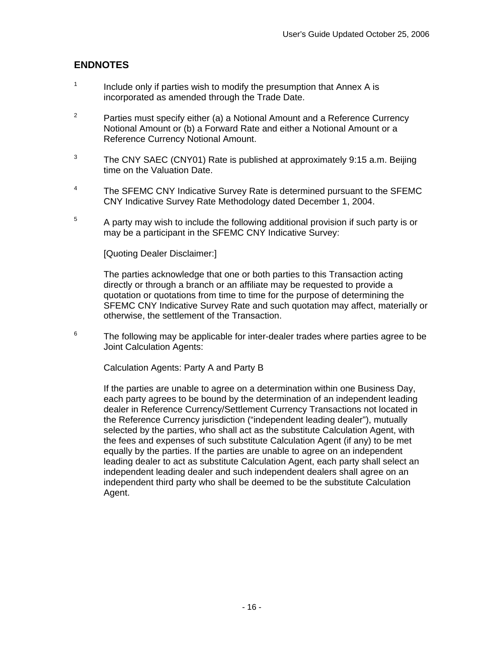# **ENDNOTES**

- 1 Include only if parties wish to modify the presumption that Annex A is incorporated as amended through the Trade Date.
- <sup>2</sup> Parties must specify either (a) a Notional Amount and a Reference Currency Notional Amount or (b) a Forward Rate and either a Notional Amount or a Reference Currency Notional Amount.
- $3$  The CNY SAEC (CNY01) Rate is published at approximately 9:15 a.m. Beijing time on the Valuation Date.
- $4$  The SFEMC CNY Indicative Survey Rate is determined pursuant to the SFEMC CNY Indicative Survey Rate Methodology dated December 1, 2004.
- $5 A$  party may wish to include the following additional provision if such party is or may be a participant in the SFEMC CNY Indicative Survey:

[Quoting Dealer Disclaimer:]

The parties acknowledge that one or both parties to this Transaction acting directly or through a branch or an affiliate may be requested to provide a quotation or quotations from time to time for the purpose of determining the SFEMC CNY Indicative Survey Rate and such quotation may affect, materially or otherwise, the settlement of the Transaction.

 $6$  The following may be applicable for inter-dealer trades where parties agree to be Joint Calculation Agents:

Calculation Agents: Party A and Party B

If the parties are unable to agree on a determination within one Business Day, each party agrees to be bound by the determination of an independent leading dealer in Reference Currency/Settlement Currency Transactions not located in the Reference Currency jurisdiction ("independent leading dealer"), mutually selected by the parties, who shall act as the substitute Calculation Agent, with the fees and expenses of such substitute Calculation Agent (if any) to be met equally by the parties. If the parties are unable to agree on an independent leading dealer to act as substitute Calculation Agent, each party shall select an independent leading dealer and such independent dealers shall agree on an independent third party who shall be deemed to be the substitute Calculation Agent.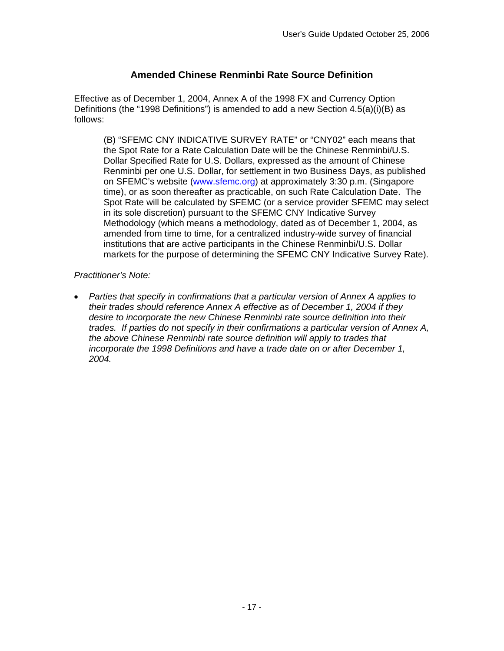# **Amended Chinese Renminbi Rate Source Definition**

<span id="page-16-0"></span>Effective as of December 1, 2004, Annex A of the 1998 FX and Currency Option Definitions (the "1998 Definitions") is amended to add a new Section  $4.5(a)(i)(B)$  as follows:

(B) "SFEMC CNY INDICATIVE SURVEY RATE" or "CNY02" each means that the Spot Rate for a Rate Calculation Date will be the Chinese Renminbi/U.S. Dollar Specified Rate for U.S. Dollars, expressed as the amount of Chinese Renminbi per one U.S. Dollar, for settlement in two Business Days, as published on SFEMC's website ([www.sfemc.org](http://www.sfemc.org/)) at approximately 3:30 p.m. (Singapore time), or as soon thereafter as practicable, on such Rate Calculation Date. The Spot Rate will be calculated by SFEMC (or a service provider SFEMC may select in its sole discretion) pursuant to the SFEMC CNY Indicative Survey Methodology (which means a methodology, dated as of December 1, 2004, as amended from time to time, for a centralized industry-wide survey of financial institutions that are active participants in the Chinese Renminbi/U.S. Dollar markets for the purpose of determining the SFEMC CNY Indicative Survey Rate).

#### *Practitioner's Note:*

• *Parties that specify in confirmations that a particular version of Annex A applies to their trades should reference Annex A effective as of December 1, 2004 if they desire to incorporate the new Chinese Renminbi rate source definition into their trades. If parties do not specify in their confirmations a particular version of Annex A, the above Chinese Renminbi rate source definition will apply to trades that incorporate the 1998 Definitions and have a trade date on or after December 1, 2004.*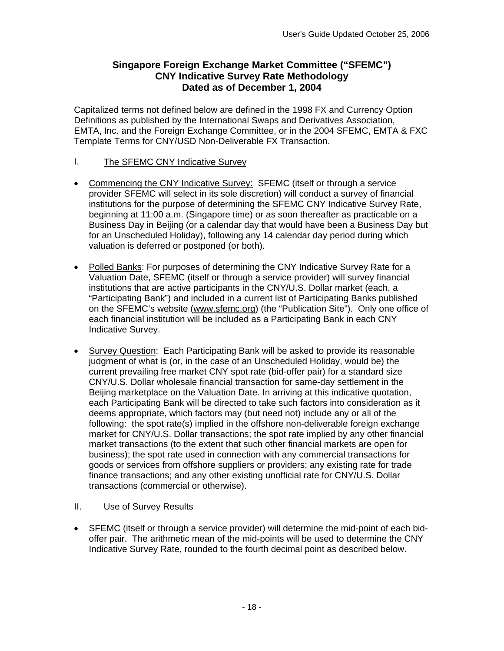# <span id="page-17-0"></span>**Singapore Foreign Exchange Market Committee ("SFEMC") CNY Indicative Survey Rate Methodology Dated as of December 1, 2004**

Capitalized terms not defined below are defined in the 1998 FX and Currency Option Definitions as published by the International Swaps and Derivatives Association, EMTA, Inc. and the Foreign Exchange Committee, or in the 2004 SFEMC, EMTA & FXC Template Terms for CNY/USD Non-Deliverable FX Transaction.

- I. The SFEMC CNY Indicative Survey
- Commencing the CNY Indicative Survey: SFEMC (itself or through a service provider SFEMC will select in its sole discretion) will conduct a survey of financial institutions for the purpose of determining the SFEMC CNY Indicative Survey Rate, beginning at 11:00 a.m. (Singapore time) or as soon thereafter as practicable on a Business Day in Beijing (or a calendar day that would have been a Business Day but for an Unscheduled Holiday), following any 14 calendar day period during which valuation is deferred or postponed (or both).
- Polled Banks: For purposes of determining the CNY Indicative Survey Rate for a Valuation Date, SFEMC (itself or through a service provider) will survey financial institutions that are active participants in the CNY/U.S. Dollar market (each, a "Participating Bank") and included in a current list of Participating Banks published on the SFEMC's website [\(www.sfemc.org](http://www.sfemc.org/)) (the "Publication Site"). Only one office of each financial institution will be included as a Participating Bank in each CNY Indicative Survey.
- Survey Question: Each Participating Bank will be asked to provide its reasonable judgment of what is (or, in the case of an Unscheduled Holiday, would be) the current prevailing free market CNY spot rate (bid-offer pair) for a standard size CNY/U.S. Dollar wholesale financial transaction for same-day settlement in the Beijing marketplace on the Valuation Date. In arriving at this indicative quotation, each Participating Bank will be directed to take such factors into consideration as it deems appropriate, which factors may (but need not) include any or all of the following: the spot rate(s) implied in the offshore non-deliverable foreign exchange market for CNY/U.S. Dollar transactions; the spot rate implied by any other financial market transactions (to the extent that such other financial markets are open for business); the spot rate used in connection with any commercial transactions for goods or services from offshore suppliers or providers; any existing rate for trade finance transactions; and any other existing unofficial rate for CNY/U.S. Dollar transactions (commercial or otherwise).

## II. Use of Survey Results

• SFEMC (itself or through a service provider) will determine the mid-point of each bidoffer pair. The arithmetic mean of the mid-points will be used to determine the CNY Indicative Survey Rate, rounded to the fourth decimal point as described below.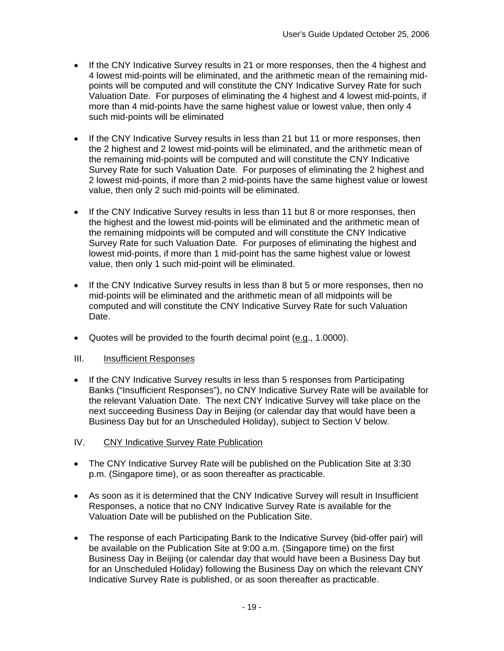- If the CNY Indicative Survey results in 21 or more responses, then the 4 highest and 4 lowest mid-points will be eliminated, and the arithmetic mean of the remaining midpoints will be computed and will constitute the CNY Indicative Survey Rate for such Valuation Date. For purposes of eliminating the 4 highest and 4 lowest mid-points, if more than 4 mid-points have the same highest value or lowest value, then only 4 such mid-points will be eliminated
- If the CNY Indicative Survey results in less than 21 but 11 or more responses, then the 2 highest and 2 lowest mid-points will be eliminated, and the arithmetic mean of the remaining mid-points will be computed and will constitute the CNY Indicative Survey Rate for such Valuation Date. For purposes of eliminating the 2 highest and 2 lowest mid-points, if more than 2 mid-points have the same highest value or lowest value, then only 2 such mid-points will be eliminated.
- If the CNY Indicative Survey results in less than 11 but 8 or more responses, then the highest and the lowest mid-points will be eliminated and the arithmetic mean of the remaining midpoints will be computed and will constitute the CNY Indicative Survey Rate for such Valuation Date. For purposes of eliminating the highest and lowest mid-points, if more than 1 mid-point has the same highest value or lowest value, then only 1 such mid-point will be eliminated.
- If the CNY Indicative Survey results in less than 8 but 5 or more responses, then no mid-points will be eliminated and the arithmetic mean of all midpoints will be computed and will constitute the CNY Indicative Survey Rate for such Valuation Date.
- Quotes will be provided to the fourth decimal point (e.g., 1.0000).

## III. Insufficient Responses

- If the CNY Indicative Survey results in less than 5 responses from Participating Banks ("Insufficient Responses"), no CNY Indicative Survey Rate will be available for the relevant Valuation Date. The next CNY Indicative Survey will take place on the next succeeding Business Day in Beijing (or calendar day that would have been a Business Day but for an Unscheduled Holiday), subject to Section V below.
- IV. CNY Indicative Survey Rate Publication
- The CNY Indicative Survey Rate will be published on the Publication Site at 3:30 p.m. (Singapore time), or as soon thereafter as practicable.
- As soon as it is determined that the CNY Indicative Survey will result in Insufficient Responses, a notice that no CNY Indicative Survey Rate is available for the Valuation Date will be published on the Publication Site.
- The response of each Participating Bank to the Indicative Survey (bid-offer pair) will be available on the Publication Site at 9:00 a.m. (Singapore time) on the first Business Day in Beijing (or calendar day that would have been a Business Day but for an Unscheduled Holiday) following the Business Day on which the relevant CNY Indicative Survey Rate is published, or as soon thereafter as practicable.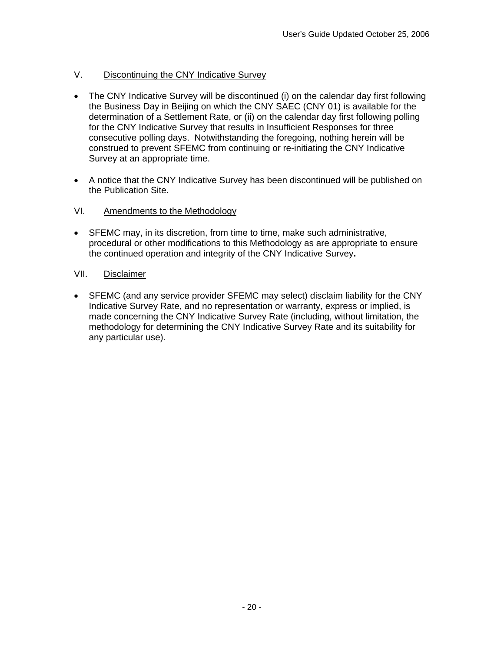## V. Discontinuing the CNY Indicative Survey

- The CNY Indicative Survey will be discontinued (i) on the calendar day first following the Business Day in Beijing on which the CNY SAEC (CNY 01) is available for the determination of a Settlement Rate, or (ii) on the calendar day first following polling for the CNY Indicative Survey that results in Insufficient Responses for three consecutive polling days. Notwithstanding the foregoing, nothing herein will be construed to prevent SFEMC from continuing or re-initiating the CNY Indicative Survey at an appropriate time.
- A notice that the CNY Indicative Survey has been discontinued will be published on the Publication Site.

#### VI. Amendments to the Methodology

• SFEMC may, in its discretion, from time to time, make such administrative, procedural or other modifications to this Methodology as are appropriate to ensure the continued operation and integrity of the CNY Indicative Survey**.** 

#### VII. Disclaimer

• SFEMC (and any service provider SFEMC may select) disclaim liability for the CNY Indicative Survey Rate, and no representation or warranty, express or implied, is made concerning the CNY Indicative Survey Rate (including, without limitation, the methodology for determining the CNY Indicative Survey Rate and its suitability for any particular use).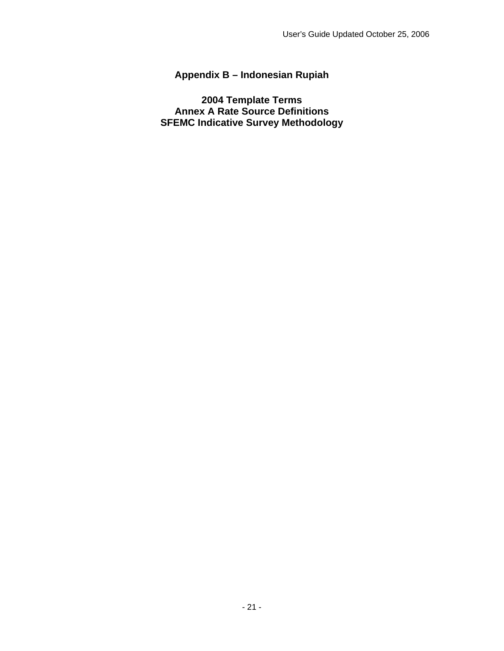# **Appendix B – Indonesian Rupiah**

<span id="page-20-0"></span>**2004 Template Terms Annex A Rate Source Definitions SFEMC Indicative Survey Methodology**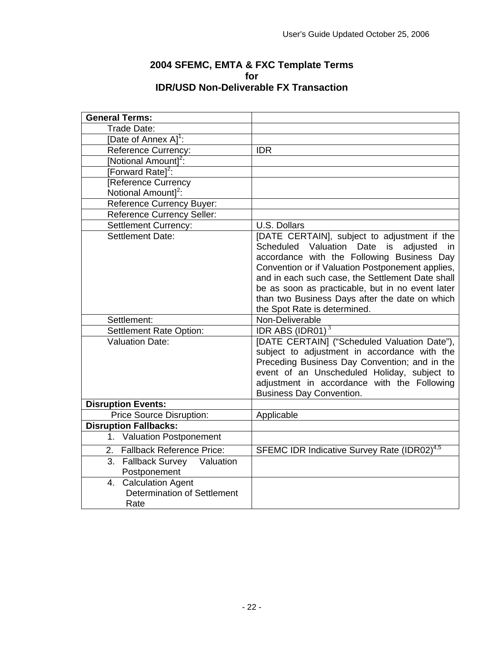## **2004 SFEMC, EMTA & FXC Template Terms for IDR/USD Non-Deliverable FX Transaction**

<span id="page-21-0"></span>

| <b>General Terms:</b>                                       |                                                                                                                                                                                                                                                                                                                                                                                                                                  |
|-------------------------------------------------------------|----------------------------------------------------------------------------------------------------------------------------------------------------------------------------------------------------------------------------------------------------------------------------------------------------------------------------------------------------------------------------------------------------------------------------------|
| Trade Date:                                                 |                                                                                                                                                                                                                                                                                                                                                                                                                                  |
| [Date of Annex A] <sup>1</sup> :                            |                                                                                                                                                                                                                                                                                                                                                                                                                                  |
| <b>Reference Currency:</b>                                  | <b>IDR</b>                                                                                                                                                                                                                                                                                                                                                                                                                       |
| [Notional Amount] <sup>2</sup> :                            |                                                                                                                                                                                                                                                                                                                                                                                                                                  |
| [Forward Rate] <sup>2</sup> :                               |                                                                                                                                                                                                                                                                                                                                                                                                                                  |
| [Reference Currency                                         |                                                                                                                                                                                                                                                                                                                                                                                                                                  |
| Notional Amount] <sup>2</sup> :                             |                                                                                                                                                                                                                                                                                                                                                                                                                                  |
| Reference Currency Buyer:                                   |                                                                                                                                                                                                                                                                                                                                                                                                                                  |
| <b>Reference Currency Seller:</b>                           |                                                                                                                                                                                                                                                                                                                                                                                                                                  |
| <b>Settlement Currency:</b>                                 | U.S. Dollars                                                                                                                                                                                                                                                                                                                                                                                                                     |
| Settlement Date:<br>Settlement:<br>Settlement Rate Option:  | [DATE CERTAIN], subject to adjustment if the<br>Scheduled Valuation Date is<br>adjusted in<br>accordance with the Following Business Day<br>Convention or if Valuation Postponement applies,<br>and in each such case, the Settlement Date shall<br>be as soon as practicable, but in no event later<br>than two Business Days after the date on which<br>the Spot Rate is determined.<br>Non-Deliverable<br>IDR ABS (IDR01) $3$ |
| <b>Valuation Date:</b>                                      | [DATE CERTAIN] ("Scheduled Valuation Date"),<br>subject to adjustment in accordance with the<br>Preceding Business Day Convention; and in the<br>event of an Unscheduled Holiday, subject to<br>adjustment in accordance with the Following<br><b>Business Day Convention.</b>                                                                                                                                                   |
| <b>Disruption Events:</b>                                   |                                                                                                                                                                                                                                                                                                                                                                                                                                  |
| Price Source Disruption:                                    | Applicable                                                                                                                                                                                                                                                                                                                                                                                                                       |
| <b>Disruption Fallbacks:</b>                                |                                                                                                                                                                                                                                                                                                                                                                                                                                  |
| 1. Valuation Postponement                                   |                                                                                                                                                                                                                                                                                                                                                                                                                                  |
| <b>Fallback Reference Price:</b><br>2.                      | SFEMC IDR Indicative Survey Rate (IDR02) <sup>4,5</sup>                                                                                                                                                                                                                                                                                                                                                                          |
| 3. Fallback Survey<br>Valuation<br>Postponement             |                                                                                                                                                                                                                                                                                                                                                                                                                                  |
| 4. Calculation Agent<br>Determination of Settlement<br>Rate |                                                                                                                                                                                                                                                                                                                                                                                                                                  |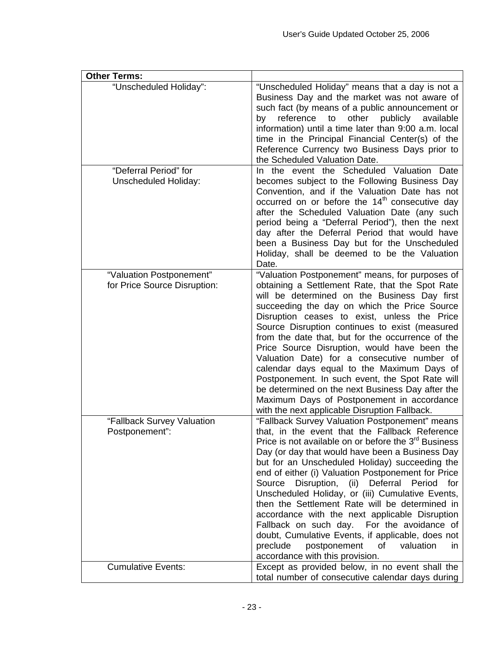| <b>Other Terms:</b>                                      |                                                                                                                                                                                                                                                                                                                                                                                                                                                                                                                                                                                                                                                                                                                                             |
|----------------------------------------------------------|---------------------------------------------------------------------------------------------------------------------------------------------------------------------------------------------------------------------------------------------------------------------------------------------------------------------------------------------------------------------------------------------------------------------------------------------------------------------------------------------------------------------------------------------------------------------------------------------------------------------------------------------------------------------------------------------------------------------------------------------|
| "Unscheduled Holiday":                                   | "Unscheduled Holiday" means that a day is not a<br>Business Day and the market was not aware of<br>such fact (by means of a public announcement or<br>other publicly<br>by<br>reference to<br>available<br>information) until a time later than 9:00 a.m. local<br>time in the Principal Financial Center(s) of the<br>Reference Currency two Business Days prior to<br>the Scheduled Valuation Date.                                                                                                                                                                                                                                                                                                                                       |
| "Deferral Period" for<br><b>Unscheduled Holiday:</b>     | In the event the Scheduled Valuation<br>Date<br>becomes subject to the Following Business Day<br>Convention, and if the Valuation Date has not<br>occurred on or before the 14 <sup>th</sup> consecutive day<br>after the Scheduled Valuation Date (any such<br>period being a "Deferral Period"), then the next<br>day after the Deferral Period that would have<br>been a Business Day but for the Unscheduled<br>Holiday, shall be deemed to be the Valuation<br>Date.                                                                                                                                                                                                                                                                   |
| "Valuation Postponement"<br>for Price Source Disruption: | "Valuation Postponement" means, for purposes of<br>obtaining a Settlement Rate, that the Spot Rate<br>will be determined on the Business Day first<br>succeeding the day on which the Price Source<br>Disruption ceases to exist, unless the Price<br>Source Disruption continues to exist (measured<br>from the date that, but for the occurrence of the<br>Price Source Disruption, would have been the<br>Valuation Date) for a consecutive number of<br>calendar days equal to the Maximum Days of<br>Postponement. In such event, the Spot Rate will<br>be determined on the next Business Day after the<br>Maximum Days of Postponement in accordance<br>with the next applicable Disruption Fallback.                                |
| "Fallback Survey Valuation<br>Postponement":             | "Fallback Survey Valuation Postponement" means<br>that, in the event that the Fallback Reference<br>Price is not available on or before the 3 <sup>rd</sup> Business<br>Day (or day that would have been a Business Day<br>but for an Unscheduled Holiday) succeeding the<br>end of either (i) Valuation Postponement for Price<br>Source<br>Disruption, (ii) Deferral<br>Period<br>for<br>Unscheduled Holiday, or (iii) Cumulative Events,<br>then the Settlement Rate will be determined in<br>accordance with the next applicable Disruption<br>Fallback on such day. For the avoidance of<br>doubt, Cumulative Events, if applicable, does not<br>preclude<br>postponement<br>valuation<br>of<br>in.<br>accordance with this provision. |
| <b>Cumulative Events:</b>                                | Except as provided below, in no event shall the<br>total number of consecutive calendar days during                                                                                                                                                                                                                                                                                                                                                                                                                                                                                                                                                                                                                                         |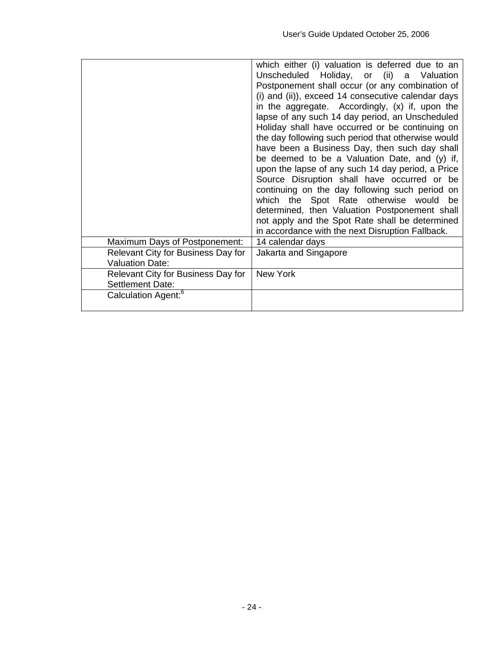| Maximum Days of Postponement:                                 | which either (i) valuation is deferred due to an<br>Unscheduled Holiday, or (ii) a Valuation<br>Postponement shall occur (or any combination of<br>(i) and (ii)), exceed 14 consecutive calendar days<br>in the aggregate. Accordingly, (x) if, upon the<br>lapse of any such 14 day period, an Unscheduled<br>Holiday shall have occurred or be continuing on<br>the day following such period that otherwise would<br>have been a Business Day, then such day shall<br>be deemed to be a Valuation Date, and (y) if,<br>upon the lapse of any such 14 day period, a Price<br>Source Disruption shall have occurred or be<br>continuing on the day following such period on<br>which the Spot Rate otherwise would be<br>determined, then Valuation Postponement shall<br>not apply and the Spot Rate shall be determined<br>in accordance with the next Disruption Fallback.<br>14 calendar days |
|---------------------------------------------------------------|----------------------------------------------------------------------------------------------------------------------------------------------------------------------------------------------------------------------------------------------------------------------------------------------------------------------------------------------------------------------------------------------------------------------------------------------------------------------------------------------------------------------------------------------------------------------------------------------------------------------------------------------------------------------------------------------------------------------------------------------------------------------------------------------------------------------------------------------------------------------------------------------------|
| Relevant City for Business Day for<br><b>Valuation Date:</b>  | Jakarta and Singapore                                                                                                                                                                                                                                                                                                                                                                                                                                                                                                                                                                                                                                                                                                                                                                                                                                                                              |
| Relevant City for Business Day for<br><b>Settlement Date:</b> | <b>New York</b>                                                                                                                                                                                                                                                                                                                                                                                                                                                                                                                                                                                                                                                                                                                                                                                                                                                                                    |
| Calculation Agent: <sup>6</sup>                               |                                                                                                                                                                                                                                                                                                                                                                                                                                                                                                                                                                                                                                                                                                                                                                                                                                                                                                    |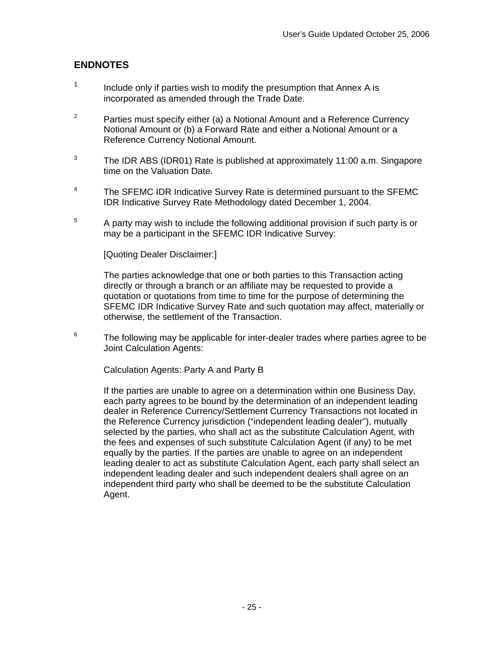# **ENDNOTES**

- $1$  Include only if parties wish to modify the presumption that Annex A is incorporated as amended through the Trade Date.
- <sup>2</sup> Parties must specify either (a) a Notional Amount and a Reference Currency Notional Amount or (b) a Forward Rate and either a Notional Amount or a Reference Currency Notional Amount.
- $3$  The IDR ABS (IDR01) Rate is published at approximately 11:00 a.m. Singapore time on the Valuation Date.
- $4$  The SFEMC IDR Indicative Survey Rate is determined pursuant to the SFEMC IDR Indicative Survey Rate Methodology dated December 1, 2004.
- 5 A party may wish to include the following additional provision if such party is or may be a participant in the SFEMC IDR Indicative Survey:

[Quoting Dealer Disclaimer:]

The parties acknowledge that one or both parties to this Transaction acting directly or through a branch or an affiliate may be requested to provide a quotation or quotations from time to time for the purpose of determining the SFEMC IDR Indicative Survey Rate and such quotation may affect, materially or otherwise, the settlement of the Transaction.

6 The following may be applicable for inter-dealer trades where parties agree to be Joint Calculation Agents:

Calculation Agents: Party A and Party B

If the parties are unable to agree on a determination within one Business Day, each party agrees to be bound by the determination of an independent leading dealer in Reference Currency/Settlement Currency Transactions not located in the Reference Currency jurisdiction ("independent leading dealer"), mutually selected by the parties, who shall act as the substitute Calculation Agent, with the fees and expenses of such substitute Calculation Agent (if any) to be met equally by the parties. If the parties are unable to agree on an independent leading dealer to act as substitute Calculation Agent, each party shall select an independent leading dealer and such independent dealers shall agree on an independent third party who shall be deemed to be the substitute Calculation Agent.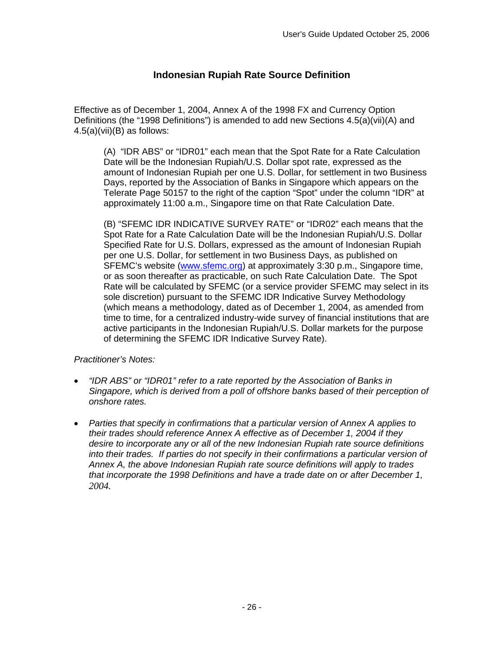# **Indonesian Rupiah Rate Source Definition**

<span id="page-25-0"></span>Effective as of December 1, 2004, Annex A of the 1998 FX and Currency Option Definitions (the "1998 Definitions") is amended to add new Sections 4.5(a)(vii)(A) and 4.5(a)(vii)(B) as follows:

(A) "IDR ABS" or "IDR01" each mean that the Spot Rate for a Rate Calculation Date will be the Indonesian Rupiah/U.S. Dollar spot rate, expressed as the amount of Indonesian Rupiah per one U.S. Dollar, for settlement in two Business Days, reported by the Association of Banks in Singapore which appears on the Telerate Page 50157 to the right of the caption "Spot" under the column "IDR" at approximately 11:00 a.m., Singapore time on that Rate Calculation Date.

(B) "SFEMC IDR INDICATIVE SURVEY RATE" or "IDR02" each means that the Spot Rate for a Rate Calculation Date will be the Indonesian Rupiah/U.S. Dollar Specified Rate for U.S. Dollars, expressed as the amount of Indonesian Rupiah per one U.S. Dollar, for settlement in two Business Days, as published on SFEMC's website [\(www.sfemc.org\)](http://www.sfemc.org/) at approximately 3:30 p.m., Singapore time, or as soon thereafter as practicable, on such Rate Calculation Date. The Spot Rate will be calculated by SFEMC (or a service provider SFEMC may select in its sole discretion) pursuant to the SFEMC IDR Indicative Survey Methodology (which means a methodology, dated as of December 1, 2004, as amended from time to time, for a centralized industry-wide survey of financial institutions that are active participants in the Indonesian Rupiah/U.S. Dollar markets for the purpose of determining the SFEMC IDR Indicative Survey Rate).

#### *Practitioner's Notes:*

- *"IDR ABS" or "IDR01" refer to a rate reported by the Association of Banks in Singapore, which is derived from a poll of offshore banks based of their perception of onshore rates.*
- *Parties that specify in confirmations that a particular version of Annex A applies to their trades should reference Annex A effective as of December 1, 2004 if they desire to incorporate any or all of the new Indonesian Rupiah rate source definitions into their trades. If parties do not specify in their confirmations a particular version of Annex A, the above Indonesian Rupiah rate source definitions will apply to trades that incorporate the 1998 Definitions and have a trade date on or after December 1, 2004.*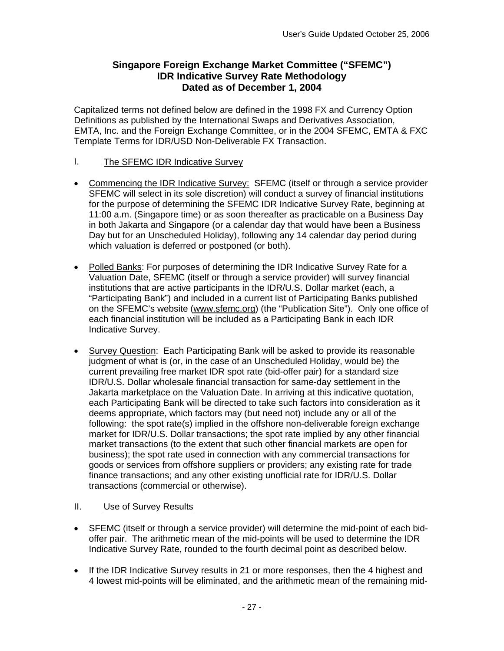# <span id="page-26-0"></span>**Singapore Foreign Exchange Market Committee ("SFEMC") IDR Indicative Survey Rate Methodology Dated as of December 1, 2004**

Capitalized terms not defined below are defined in the 1998 FX and Currency Option Definitions as published by the International Swaps and Derivatives Association, EMTA, Inc. and the Foreign Exchange Committee, or in the 2004 SFEMC, EMTA & FXC Template Terms for IDR/USD Non-Deliverable FX Transaction.

#### I. The SFEMC IDR Indicative Survey

- **Commencing the IDR Indicative Survey: SFEMC (itself or through a service provider** SFEMC will select in its sole discretion) will conduct a survey of financial institutions for the purpose of determining the SFEMC IDR Indicative Survey Rate, beginning at 11:00 a.m. (Singapore time) or as soon thereafter as practicable on a Business Day in both Jakarta and Singapore (or a calendar day that would have been a Business Day but for an Unscheduled Holiday), following any 14 calendar day period during which valuation is deferred or postponed (or both).
- Polled Banks: For purposes of determining the IDR Indicative Survey Rate for a Valuation Date, SFEMC (itself or through a service provider) will survey financial institutions that are active participants in the IDR/U.S. Dollar market (each, a "Participating Bank") and included in a current list of Participating Banks published on the SFEMC's website [\(www.sfemc.org](http://www.sfemc.org/)) (the "Publication Site"). Only one office of each financial institution will be included as a Participating Bank in each IDR Indicative Survey.
- Survey Question: Each Participating Bank will be asked to provide its reasonable judgment of what is (or, in the case of an Unscheduled Holiday, would be) the current prevailing free market IDR spot rate (bid-offer pair) for a standard size IDR/U.S. Dollar wholesale financial transaction for same-day settlement in the Jakarta marketplace on the Valuation Date. In arriving at this indicative quotation, each Participating Bank will be directed to take such factors into consideration as it deems appropriate, which factors may (but need not) include any or all of the following: the spot rate(s) implied in the offshore non-deliverable foreign exchange market for IDR/U.S. Dollar transactions; the spot rate implied by any other financial market transactions (to the extent that such other financial markets are open for business); the spot rate used in connection with any commercial transactions for goods or services from offshore suppliers or providers; any existing rate for trade finance transactions; and any other existing unofficial rate for IDR/U.S. Dollar transactions (commercial or otherwise).

#### II. Use of Survey Results

- SFEMC (itself or through a service provider) will determine the mid-point of each bidoffer pair. The arithmetic mean of the mid-points will be used to determine the IDR Indicative Survey Rate, rounded to the fourth decimal point as described below.
- If the IDR Indicative Survey results in 21 or more responses, then the 4 highest and 4 lowest mid-points will be eliminated, and the arithmetic mean of the remaining mid-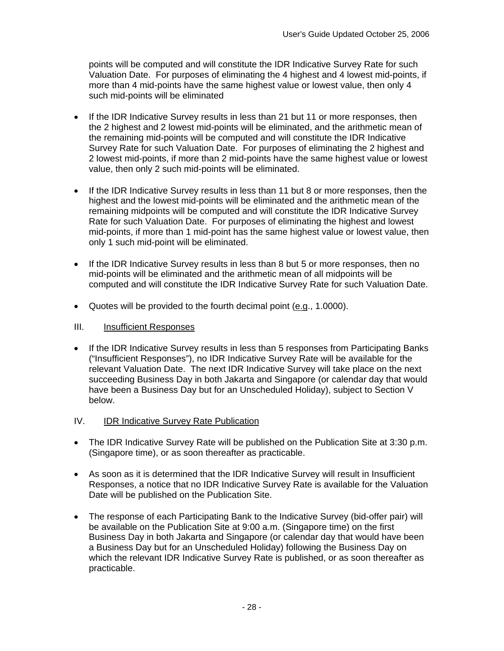points will be computed and will constitute the IDR Indicative Survey Rate for such Valuation Date. For purposes of eliminating the 4 highest and 4 lowest mid-points, if more than 4 mid-points have the same highest value or lowest value, then only 4 such mid-points will be eliminated

- If the IDR Indicative Survey results in less than 21 but 11 or more responses, then the 2 highest and 2 lowest mid-points will be eliminated, and the arithmetic mean of the remaining mid-points will be computed and will constitute the IDR Indicative Survey Rate for such Valuation Date. For purposes of eliminating the 2 highest and 2 lowest mid-points, if more than 2 mid-points have the same highest value or lowest value, then only 2 such mid-points will be eliminated.
- If the IDR Indicative Survey results in less than 11 but 8 or more responses, then the highest and the lowest mid-points will be eliminated and the arithmetic mean of the remaining midpoints will be computed and will constitute the IDR Indicative Survey Rate for such Valuation Date. For purposes of eliminating the highest and lowest mid-points, if more than 1 mid-point has the same highest value or lowest value, then only 1 such mid-point will be eliminated.
- If the IDR Indicative Survey results in less than 8 but 5 or more responses, then no mid-points will be eliminated and the arithmetic mean of all midpoints will be computed and will constitute the IDR Indicative Survey Rate for such Valuation Date.
- Quotes will be provided to the fourth decimal point (e.g., 1.0000).

#### III. Insufficient Responses

• If the IDR Indicative Survey results in less than 5 responses from Participating Banks ("Insufficient Responses"), no IDR Indicative Survey Rate will be available for the relevant Valuation Date. The next IDR Indicative Survey will take place on the next succeeding Business Day in both Jakarta and Singapore (or calendar day that would have been a Business Day but for an Unscheduled Holiday), subject to Section V below.

## IV. IDR Indicative Survey Rate Publication

- The IDR Indicative Survey Rate will be published on the Publication Site at 3:30 p.m. (Singapore time), or as soon thereafter as practicable.
- As soon as it is determined that the IDR Indicative Survey will result in Insufficient Responses, a notice that no IDR Indicative Survey Rate is available for the Valuation Date will be published on the Publication Site.
- The response of each Participating Bank to the Indicative Survey (bid-offer pair) will be available on the Publication Site at 9:00 a.m. (Singapore time) on the first Business Day in both Jakarta and Singapore (or calendar day that would have been a Business Day but for an Unscheduled Holiday) following the Business Day on which the relevant IDR Indicative Survey Rate is published, or as soon thereafter as practicable.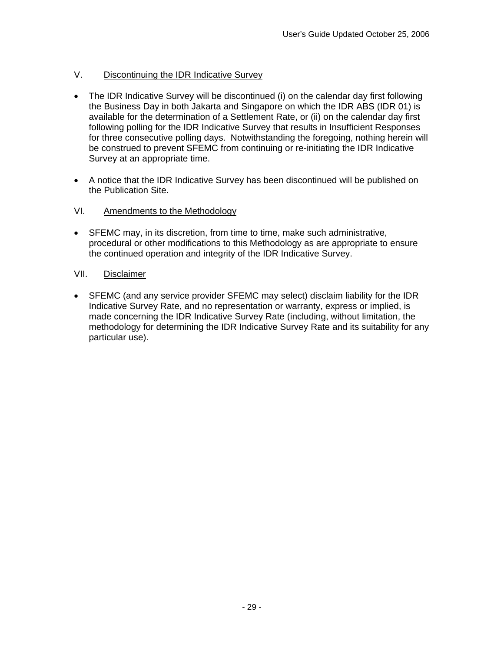## V. Discontinuing the IDR Indicative Survey

- The IDR Indicative Survey will be discontinued (i) on the calendar day first following the Business Day in both Jakarta and Singapore on which the IDR ABS (IDR 01) is available for the determination of a Settlement Rate, or (ii) on the calendar day first following polling for the IDR Indicative Survey that results in Insufficient Responses for three consecutive polling days. Notwithstanding the foregoing, nothing herein will be construed to prevent SFEMC from continuing or re-initiating the IDR Indicative Survey at an appropriate time.
- A notice that the IDR Indicative Survey has been discontinued will be published on the Publication Site.

#### VI. Amendments to the Methodology

• SFEMC may, in its discretion, from time to time, make such administrative, procedural or other modifications to this Methodology as are appropriate to ensure the continued operation and integrity of the IDR Indicative Survey.

#### VII. Disclaimer

• SFEMC (and any service provider SFEMC may select) disclaim liability for the IDR Indicative Survey Rate, and no representation or warranty, express or implied, is made concerning the IDR Indicative Survey Rate (including, without limitation, the methodology for determining the IDR Indicative Survey Rate and its suitability for any particular use).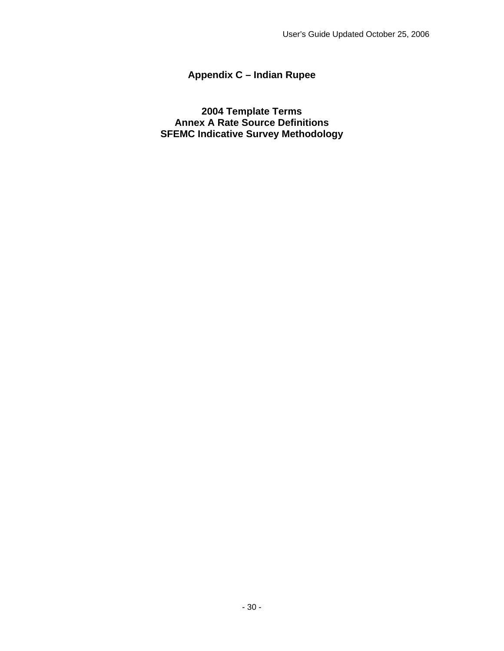# **Appendix C – Indian Rupee**

<span id="page-29-0"></span>**2004 Template Terms Annex A Rate Source Definitions SFEMC Indicative Survey Methodology**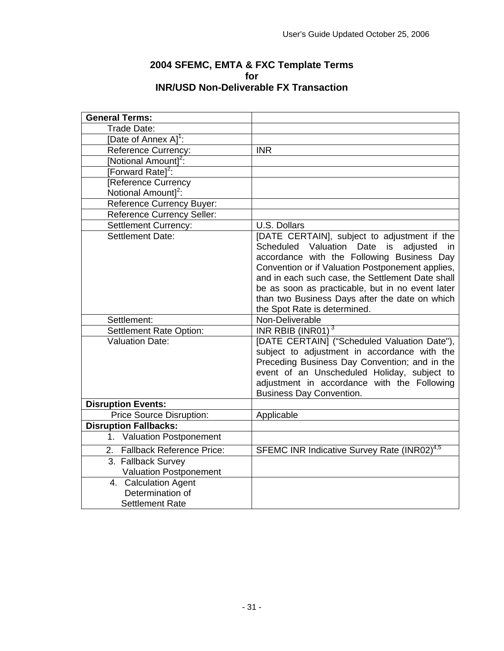#### **2004 SFEMC, EMTA & FXC Template Terms for INR/USD Non-Deliverable FX Transaction**

<span id="page-30-0"></span>

| <b>General Terms:</b>                                              |                                                                                                                                                                                                                                                                                                                                                                                        |
|--------------------------------------------------------------------|----------------------------------------------------------------------------------------------------------------------------------------------------------------------------------------------------------------------------------------------------------------------------------------------------------------------------------------------------------------------------------------|
| Trade Date:                                                        |                                                                                                                                                                                                                                                                                                                                                                                        |
| [Date of Annex A] <sup>1</sup> :                                   |                                                                                                                                                                                                                                                                                                                                                                                        |
| <b>Reference Currency:</b>                                         | <b>INR</b>                                                                                                                                                                                                                                                                                                                                                                             |
| [Notional Amount] <sup>2</sup> :                                   |                                                                                                                                                                                                                                                                                                                                                                                        |
| [Forward Rate] <sup>2</sup> :                                      |                                                                                                                                                                                                                                                                                                                                                                                        |
| [Reference Currency                                                |                                                                                                                                                                                                                                                                                                                                                                                        |
| Notional Amount] <sup>2</sup> :                                    |                                                                                                                                                                                                                                                                                                                                                                                        |
| Reference Currency Buyer:                                          |                                                                                                                                                                                                                                                                                                                                                                                        |
| <b>Reference Currency Seller:</b>                                  |                                                                                                                                                                                                                                                                                                                                                                                        |
| <b>Settlement Currency:</b>                                        | U.S. Dollars                                                                                                                                                                                                                                                                                                                                                                           |
| Settlement Date:                                                   | [DATE CERTAIN], subject to adjustment if the<br>Scheduled Valuation Date is<br>adjusted in<br>accordance with the Following Business Day<br>Convention or if Valuation Postponement applies,<br>and in each such case, the Settlement Date shall<br>be as soon as practicable, but in no event later<br>than two Business Days after the date on which<br>the Spot Rate is determined. |
| Settlement:                                                        | Non-Deliverable                                                                                                                                                                                                                                                                                                                                                                        |
| Settlement Rate Option:                                            | INR RBIB $(INR01)^3$                                                                                                                                                                                                                                                                                                                                                                   |
| <b>Valuation Date:</b>                                             | [DATE CERTAIN] ("Scheduled Valuation Date"),<br>subject to adjustment in accordance with the<br>Preceding Business Day Convention; and in the<br>event of an Unscheduled Holiday, subject to<br>adjustment in accordance with the Following<br><b>Business Day Convention.</b>                                                                                                         |
| <b>Disruption Events:</b>                                          |                                                                                                                                                                                                                                                                                                                                                                                        |
| Price Source Disruption:                                           | Applicable                                                                                                                                                                                                                                                                                                                                                                             |
| <b>Disruption Fallbacks:</b>                                       |                                                                                                                                                                                                                                                                                                                                                                                        |
| 1. Valuation Postponement                                          |                                                                                                                                                                                                                                                                                                                                                                                        |
| <b>Fallback Reference Price:</b><br>2.                             | SFEMC INR Indicative Survey Rate (INR02)4,5                                                                                                                                                                                                                                                                                                                                            |
| 3. Fallback Survey<br><b>Valuation Postponement</b>                |                                                                                                                                                                                                                                                                                                                                                                                        |
| 4. Calculation Agent<br>Determination of<br><b>Settlement Rate</b> |                                                                                                                                                                                                                                                                                                                                                                                        |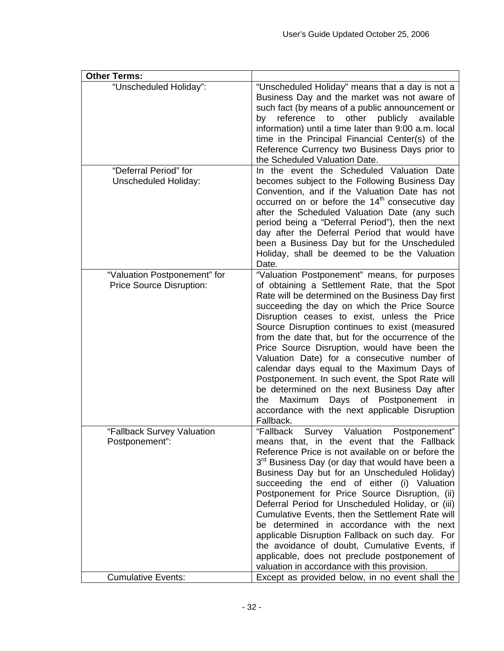| <b>Other Terms:</b>                                             |                                                                                                                                                                                                                                                                                                                                                                                                                                                                                                                                                                                                                                                                                                                                 |
|-----------------------------------------------------------------|---------------------------------------------------------------------------------------------------------------------------------------------------------------------------------------------------------------------------------------------------------------------------------------------------------------------------------------------------------------------------------------------------------------------------------------------------------------------------------------------------------------------------------------------------------------------------------------------------------------------------------------------------------------------------------------------------------------------------------|
| "Unscheduled Holiday":                                          | "Unscheduled Holiday" means that a day is not a<br>Business Day and the market was not aware of<br>such fact (by means of a public announcement or<br>reference to other publicly<br>by<br>available<br>information) until a time later than 9:00 a.m. local<br>time in the Principal Financial Center(s) of the<br>Reference Currency two Business Days prior to<br>the Scheduled Valuation Date.                                                                                                                                                                                                                                                                                                                              |
| "Deferral Period" for<br><b>Unscheduled Holiday:</b>            | In the event the Scheduled Valuation Date<br>becomes subject to the Following Business Day<br>Convention, and if the Valuation Date has not<br>occurred on or before the 14 <sup>th</sup> consecutive day<br>after the Scheduled Valuation Date (any such<br>period being a "Deferral Period"), then the next<br>day after the Deferral Period that would have<br>been a Business Day but for the Unscheduled<br>Holiday, shall be deemed to be the Valuation<br>Date.                                                                                                                                                                                                                                                          |
| "Valuation Postponement" for<br><b>Price Source Disruption:</b> | "Valuation Postponement" means, for purposes<br>of obtaining a Settlement Rate, that the Spot<br>Rate will be determined on the Business Day first<br>succeeding the day on which the Price Source<br>Disruption ceases to exist, unless the Price<br>Source Disruption continues to exist (measured<br>from the date that, but for the occurrence of the<br>Price Source Disruption, would have been the<br>Valuation Date) for a consecutive number of<br>calendar days equal to the Maximum Days of<br>Postponement. In such event, the Spot Rate will<br>be determined on the next Business Day after<br>Days of Postponement<br>the<br>Maximum<br><i>in</i><br>accordance with the next applicable Disruption<br>Fallback. |
| "Fallback Survey Valuation<br>Postponement":                    | Survey Valuation<br>Postponement"<br>"Fallback<br>means that, in the event that the Fallback<br>Reference Price is not available on or before the<br>3 <sup>rd</sup> Business Day (or day that would have been a<br>Business Day but for an Unscheduled Holiday)<br>succeeding the end of either (i) Valuation<br>Postponement for Price Source Disruption, (ii)<br>Deferral Period for Unscheduled Holiday, or (iii)<br>Cumulative Events, then the Settlement Rate will<br>be determined in accordance with the next<br>applicable Disruption Fallback on such day. For<br>the avoidance of doubt, Cumulative Events, if<br>applicable, does not preclude postponement of                                                     |
| <b>Cumulative Events:</b>                                       | valuation in accordance with this provision.<br>Except as provided below, in no event shall the                                                                                                                                                                                                                                                                                                                                                                                                                                                                                                                                                                                                                                 |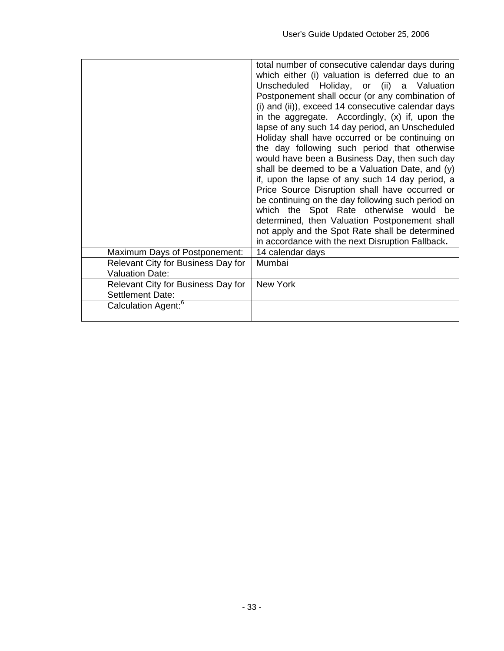|                                    | total number of consecutive calendar days during<br>which either (i) valuation is deferred due to an<br>Unscheduled Holiday, or (ii) a Valuation<br>Postponement shall occur (or any combination of<br>(i) and (ii)), exceed 14 consecutive calendar days<br>in the aggregate. Accordingly, (x) if, upon the<br>lapse of any such 14 day period, an Unscheduled<br>Holiday shall have occurred or be continuing on<br>the day following such period that otherwise<br>would have been a Business Day, then such day<br>shall be deemed to be a Valuation Date, and (y)<br>if, upon the lapse of any such 14 day period, a<br>Price Source Disruption shall have occurred or<br>be continuing on the day following such period on<br>which the Spot Rate otherwise would be<br>determined, then Valuation Postponement shall<br>not apply and the Spot Rate shall be determined<br>in accordance with the next Disruption Fallback. |
|------------------------------------|------------------------------------------------------------------------------------------------------------------------------------------------------------------------------------------------------------------------------------------------------------------------------------------------------------------------------------------------------------------------------------------------------------------------------------------------------------------------------------------------------------------------------------------------------------------------------------------------------------------------------------------------------------------------------------------------------------------------------------------------------------------------------------------------------------------------------------------------------------------------------------------------------------------------------------|
| Maximum Days of Postponement:      | 14 calendar days                                                                                                                                                                                                                                                                                                                                                                                                                                                                                                                                                                                                                                                                                                                                                                                                                                                                                                                   |
| Relevant City for Business Day for | Mumbai                                                                                                                                                                                                                                                                                                                                                                                                                                                                                                                                                                                                                                                                                                                                                                                                                                                                                                                             |
| <b>Valuation Date:</b>             |                                                                                                                                                                                                                                                                                                                                                                                                                                                                                                                                                                                                                                                                                                                                                                                                                                                                                                                                    |
| Relevant City for Business Day for | <b>New York</b>                                                                                                                                                                                                                                                                                                                                                                                                                                                                                                                                                                                                                                                                                                                                                                                                                                                                                                                    |
| <b>Settlement Date:</b>            |                                                                                                                                                                                                                                                                                                                                                                                                                                                                                                                                                                                                                                                                                                                                                                                                                                                                                                                                    |
| Calculation Agent: <sup>6</sup>    |                                                                                                                                                                                                                                                                                                                                                                                                                                                                                                                                                                                                                                                                                                                                                                                                                                                                                                                                    |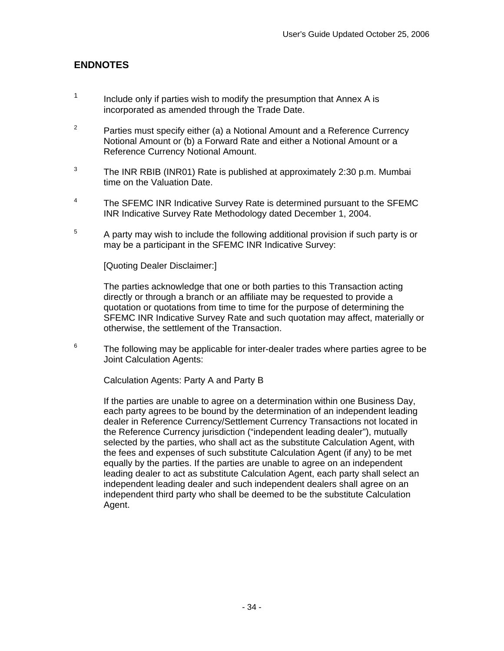# **ENDNOTES**

- $1$  Include only if parties wish to modify the presumption that Annex A is incorporated as amended through the Trade Date.
- <sup>2</sup> Parties must specify either (a) a Notional Amount and a Reference Currency Notional Amount or (b) a Forward Rate and either a Notional Amount or a Reference Currency Notional Amount.
- $3$  The INR RBIB (INR01) Rate is published at approximately 2:30 p.m. Mumbai time on the Valuation Date.
- $4$  The SFEMC INR Indicative Survey Rate is determined pursuant to the SFEMC INR Indicative Survey Rate Methodology dated December 1, 2004.
- 5 A party may wish to include the following additional provision if such party is or may be a participant in the SFEMC INR Indicative Survey:

[Quoting Dealer Disclaimer:]

The parties acknowledge that one or both parties to this Transaction acting directly or through a branch or an affiliate may be requested to provide a quotation or quotations from time to time for the purpose of determining the SFEMC INR Indicative Survey Rate and such quotation may affect, materially or otherwise, the settlement of the Transaction.

6 The following may be applicable for inter-dealer trades where parties agree to be Joint Calculation Agents:

Calculation Agents: Party A and Party B

If the parties are unable to agree on a determination within one Business Day, each party agrees to be bound by the determination of an independent leading dealer in Reference Currency/Settlement Currency Transactions not located in the Reference Currency jurisdiction ("independent leading dealer"), mutually selected by the parties, who shall act as the substitute Calculation Agent, with the fees and expenses of such substitute Calculation Agent (if any) to be met equally by the parties. If the parties are unable to agree on an independent leading dealer to act as substitute Calculation Agent, each party shall select an independent leading dealer and such independent dealers shall agree on an independent third party who shall be deemed to be the substitute Calculation Agent.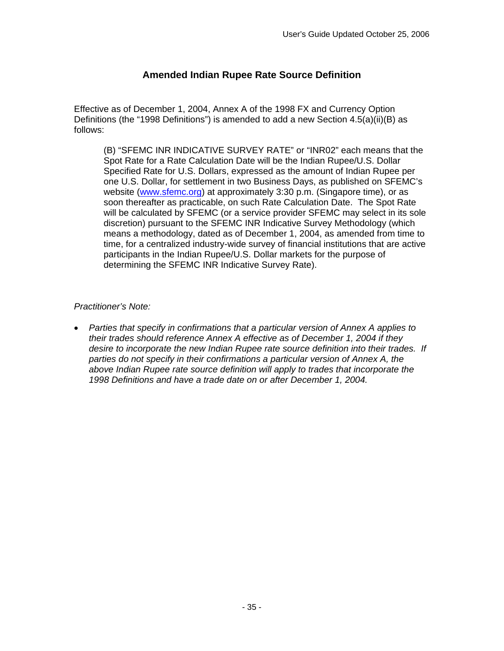# **Amended Indian Rupee Rate Source Definition**

<span id="page-34-0"></span>Effective as of December 1, 2004, Annex A of the 1998 FX and Currency Option Definitions (the "1998 Definitions") is amended to add a new Section 4.5(a)(ii)(B) as follows:

(B) "SFEMC INR INDICATIVE SURVEY RATE" or "INR02" each means that the Spot Rate for a Rate Calculation Date will be the Indian Rupee/U.S. Dollar Specified Rate for U.S. Dollars, expressed as the amount of Indian Rupee per one U.S. Dollar, for settlement in two Business Days, as published on SFEMC's website [\(www.sfemc.org](http://www.sfemc.org/)) at approximately 3:30 p.m. (Singapore time), or as soon thereafter as practicable, on such Rate Calculation Date. The Spot Rate will be calculated by SFEMC (or a service provider SFEMC may select in its sole discretion) pursuant to the SFEMC INR Indicative Survey Methodology (which means a methodology, dated as of December 1, 2004, as amended from time to time, for a centralized industry-wide survey of financial institutions that are active participants in the Indian Rupee/U.S. Dollar markets for the purpose of determining the SFEMC INR Indicative Survey Rate).

#### *Practitioner's Note:*

• *Parties that specify in confirmations that a particular version of Annex A applies to their trades should reference Annex A effective as of December 1, 2004 if they desire to incorporate the new Indian Rupee rate source definition into their trades. If parties do not specify in their confirmations a particular version of Annex A, the above Indian Rupee rate source definition will apply to trades that incorporate the 1998 Definitions and have a trade date on or after December 1, 2004.*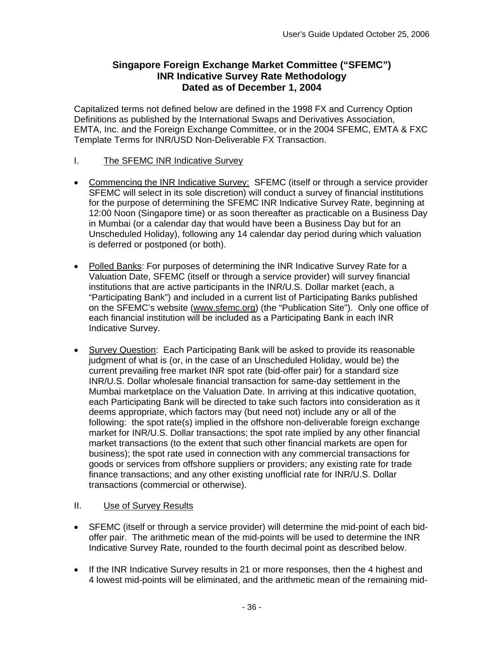# <span id="page-35-0"></span>**Singapore Foreign Exchange Market Committee ("SFEMC") INR Indicative Survey Rate Methodology Dated as of December 1, 2004**

Capitalized terms not defined below are defined in the 1998 FX and Currency Option Definitions as published by the International Swaps and Derivatives Association, EMTA, Inc. and the Foreign Exchange Committee, or in the 2004 SFEMC, EMTA & FXC Template Terms for INR/USD Non-Deliverable FX Transaction.

#### I. The SFEMC INR Indicative Survey

- Commencing the INR Indicative Survey: SFEMC (itself or through a service provider SFEMC will select in its sole discretion) will conduct a survey of financial institutions for the purpose of determining the SFEMC INR Indicative Survey Rate, beginning at 12:00 Noon (Singapore time) or as soon thereafter as practicable on a Business Day in Mumbai (or a calendar day that would have been a Business Day but for an Unscheduled Holiday), following any 14 calendar day period during which valuation is deferred or postponed (or both).
- Polled Banks: For purposes of determining the INR Indicative Survey Rate for a Valuation Date, SFEMC (itself or through a service provider) will survey financial institutions that are active participants in the INR/U.S. Dollar market (each, a "Participating Bank") and included in a current list of Participating Banks published on the SFEMC's website [\(www.sfemc.org](http://www.sfemc.org/)) (the "Publication Site"). Only one office of each financial institution will be included as a Participating Bank in each INR Indicative Survey.
- Survey Question: Each Participating Bank will be asked to provide its reasonable judgment of what is (or, in the case of an Unscheduled Holiday, would be) the current prevailing free market INR spot rate (bid-offer pair) for a standard size INR/U.S. Dollar wholesale financial transaction for same-day settlement in the Mumbai marketplace on the Valuation Date. In arriving at this indicative quotation, each Participating Bank will be directed to take such factors into consideration as it deems appropriate, which factors may (but need not) include any or all of the following: the spot rate(s) implied in the offshore non-deliverable foreign exchange market for INR/U.S. Dollar transactions; the spot rate implied by any other financial market transactions (to the extent that such other financial markets are open for business); the spot rate used in connection with any commercial transactions for goods or services from offshore suppliers or providers; any existing rate for trade finance transactions; and any other existing unofficial rate for INR/U.S. Dollar transactions (commercial or otherwise).

## II. Use of Survey Results

- SFEMC (itself or through a service provider) will determine the mid-point of each bidoffer pair. The arithmetic mean of the mid-points will be used to determine the INR Indicative Survey Rate, rounded to the fourth decimal point as described below.
- If the INR Indicative Survey results in 21 or more responses, then the 4 highest and 4 lowest mid-points will be eliminated, and the arithmetic mean of the remaining mid-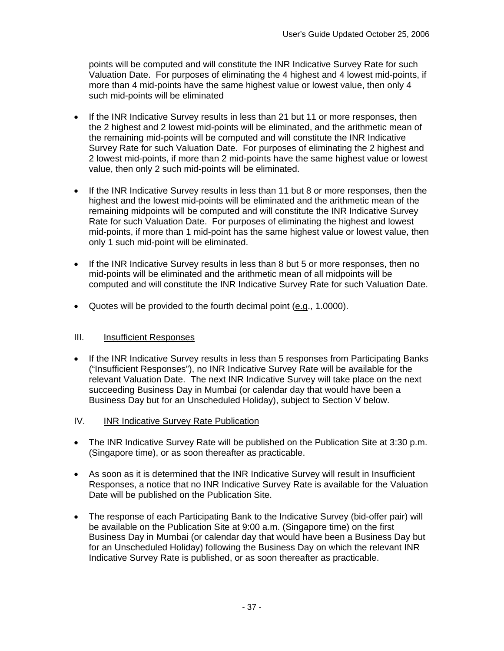points will be computed and will constitute the INR Indicative Survey Rate for such Valuation Date. For purposes of eliminating the 4 highest and 4 lowest mid-points, if more than 4 mid-points have the same highest value or lowest value, then only 4 such mid-points will be eliminated

- If the INR Indicative Survey results in less than 21 but 11 or more responses, then the 2 highest and 2 lowest mid-points will be eliminated, and the arithmetic mean of the remaining mid-points will be computed and will constitute the INR Indicative Survey Rate for such Valuation Date. For purposes of eliminating the 2 highest and 2 lowest mid-points, if more than 2 mid-points have the same highest value or lowest value, then only 2 such mid-points will be eliminated.
- If the INR Indicative Survey results in less than 11 but 8 or more responses, then the highest and the lowest mid-points will be eliminated and the arithmetic mean of the remaining midpoints will be computed and will constitute the INR Indicative Survey Rate for such Valuation Date. For purposes of eliminating the highest and lowest mid-points, if more than 1 mid-point has the same highest value or lowest value, then only 1 such mid-point will be eliminated.
- If the INR Indicative Survey results in less than 8 but 5 or more responses, then no mid-points will be eliminated and the arithmetic mean of all midpoints will be computed and will constitute the INR Indicative Survey Rate for such Valuation Date.
- Quotes will be provided to the fourth decimal point  $(e.g., 1.0000)$ .

## III. Insufficient Responses

- If the INR Indicative Survey results in less than 5 responses from Participating Banks ("Insufficient Responses"), no INR Indicative Survey Rate will be available for the relevant Valuation Date. The next INR Indicative Survey will take place on the next succeeding Business Day in Mumbai (or calendar day that would have been a Business Day but for an Unscheduled Holiday), subject to Section V below.
- IV. INR Indicative Survey Rate Publication
- The INR Indicative Survey Rate will be published on the Publication Site at 3:30 p.m. (Singapore time), or as soon thereafter as practicable.
- As soon as it is determined that the INR Indicative Survey will result in Insufficient Responses, a notice that no INR Indicative Survey Rate is available for the Valuation Date will be published on the Publication Site.
- The response of each Participating Bank to the Indicative Survey (bid-offer pair) will be available on the Publication Site at 9:00 a.m. (Singapore time) on the first Business Day in Mumbai (or calendar day that would have been a Business Day but for an Unscheduled Holiday) following the Business Day on which the relevant INR Indicative Survey Rate is published, or as soon thereafter as practicable.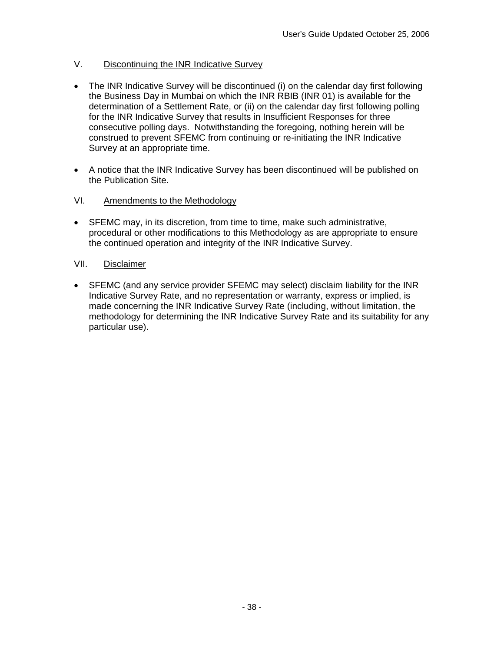## V. Discontinuing the INR Indicative Survey

- The INR Indicative Survey will be discontinued (i) on the calendar day first following the Business Day in Mumbai on which the INR RBIB (INR 01) is available for the determination of a Settlement Rate, or (ii) on the calendar day first following polling for the INR Indicative Survey that results in Insufficient Responses for three consecutive polling days. Notwithstanding the foregoing, nothing herein will be construed to prevent SFEMC from continuing or re-initiating the INR Indicative Survey at an appropriate time.
- A notice that the INR Indicative Survey has been discontinued will be published on the Publication Site.

#### VI. Amendments to the Methodology

• SFEMC may, in its discretion, from time to time, make such administrative, procedural or other modifications to this Methodology as are appropriate to ensure the continued operation and integrity of the INR Indicative Survey.

#### VII. Disclaimer

• SFEMC (and any service provider SFEMC may select) disclaim liability for the INR Indicative Survey Rate, and no representation or warranty, express or implied, is made concerning the INR Indicative Survey Rate (including, without limitation, the methodology for determining the INR Indicative Survey Rate and its suitability for any particular use).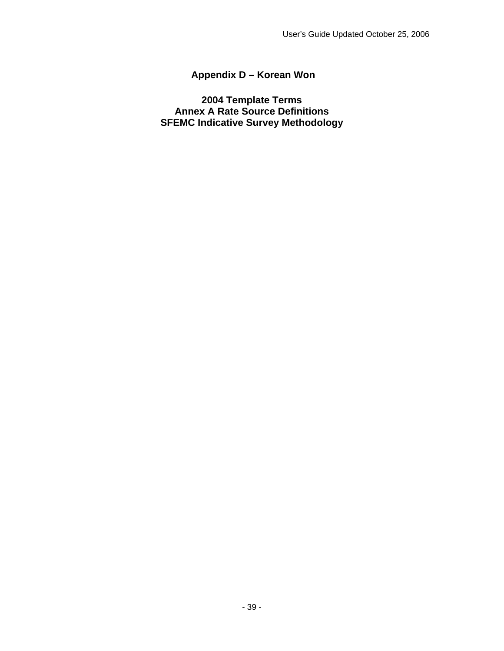# **Appendix D – Korean Won**

<span id="page-38-0"></span>**2004 Template Terms Annex A Rate Source Definitions SFEMC Indicative Survey Methodology**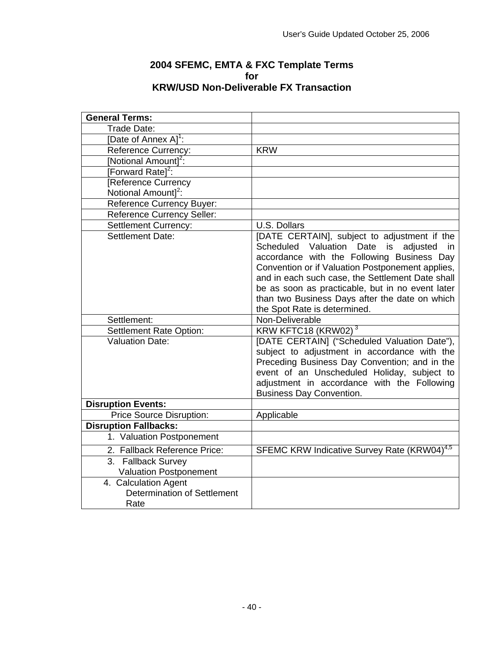#### **2004 SFEMC, EMTA & FXC Template Terms for KRW/USD Non-Deliverable FX Transaction**

<span id="page-39-0"></span>

| <b>General Terms:</b>                                              |                                                                                                                                                                                                                                                                                                                                                                                        |
|--------------------------------------------------------------------|----------------------------------------------------------------------------------------------------------------------------------------------------------------------------------------------------------------------------------------------------------------------------------------------------------------------------------------------------------------------------------------|
| Trade Date:                                                        |                                                                                                                                                                                                                                                                                                                                                                                        |
| [Date of Annex A] <sup>1</sup> :                                   |                                                                                                                                                                                                                                                                                                                                                                                        |
| <b>Reference Currency:</b>                                         | <b>KRW</b>                                                                                                                                                                                                                                                                                                                                                                             |
| [Notional Amount] <sup>2</sup> :                                   |                                                                                                                                                                                                                                                                                                                                                                                        |
| [Forward Rate] <sup>2</sup> :                                      |                                                                                                                                                                                                                                                                                                                                                                                        |
| [Reference Currency                                                |                                                                                                                                                                                                                                                                                                                                                                                        |
| Notional Amount] <sup>2</sup> :                                    |                                                                                                                                                                                                                                                                                                                                                                                        |
| Reference Currency Buyer:                                          |                                                                                                                                                                                                                                                                                                                                                                                        |
| <b>Reference Currency Seller:</b>                                  |                                                                                                                                                                                                                                                                                                                                                                                        |
| <b>Settlement Currency:</b>                                        | U.S. Dollars                                                                                                                                                                                                                                                                                                                                                                           |
| <b>Settlement Date:</b>                                            | [DATE CERTAIN], subject to adjustment if the<br>Scheduled Valuation Date is<br>adjusted in<br>accordance with the Following Business Day<br>Convention or if Valuation Postponement applies,<br>and in each such case, the Settlement Date shall<br>be as soon as practicable, but in no event later<br>than two Business Days after the date on which<br>the Spot Rate is determined. |
| Settlement:                                                        | Non-Deliverable                                                                                                                                                                                                                                                                                                                                                                        |
| <b>Settlement Rate Option:</b>                                     | KRW KFTC18 (KRW02) <sup>3</sup>                                                                                                                                                                                                                                                                                                                                                        |
| <b>Valuation Date:</b>                                             | [DATE CERTAIN] ("Scheduled Valuation Date"),<br>subject to adjustment in accordance with the<br>Preceding Business Day Convention; and in the<br>event of an Unscheduled Holiday, subject to<br>adjustment in accordance with the Following<br><b>Business Day Convention.</b>                                                                                                         |
| <b>Disruption Events:</b>                                          |                                                                                                                                                                                                                                                                                                                                                                                        |
| Price Source Disruption:                                           | Applicable                                                                                                                                                                                                                                                                                                                                                                             |
| <b>Disruption Fallbacks:</b>                                       |                                                                                                                                                                                                                                                                                                                                                                                        |
| 1. Valuation Postponement                                          |                                                                                                                                                                                                                                                                                                                                                                                        |
| 2. Fallback Reference Price:                                       | SFEMC KRW Indicative Survey Rate (KRW04) <sup>4,5</sup>                                                                                                                                                                                                                                                                                                                                |
| 3. Fallback Survey<br><b>Valuation Postponement</b>                |                                                                                                                                                                                                                                                                                                                                                                                        |
| 4. Calculation Agent<br><b>Determination of Settlement</b><br>Rate |                                                                                                                                                                                                                                                                                                                                                                                        |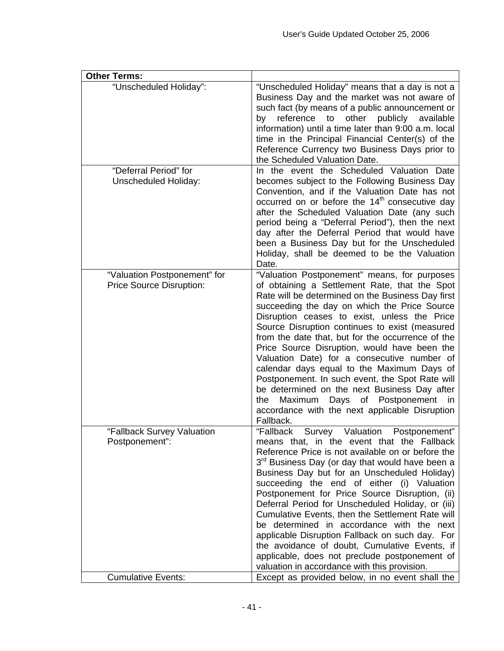| <b>Other Terms:</b>                                             |                                                                                                                                                                                                                                                                                                                                                                                                                                                                                                                                                                                                                                                                                                                           |
|-----------------------------------------------------------------|---------------------------------------------------------------------------------------------------------------------------------------------------------------------------------------------------------------------------------------------------------------------------------------------------------------------------------------------------------------------------------------------------------------------------------------------------------------------------------------------------------------------------------------------------------------------------------------------------------------------------------------------------------------------------------------------------------------------------|
| "Unscheduled Holiday":                                          | "Unscheduled Holiday" means that a day is not a<br>Business Day and the market was not aware of<br>such fact (by means of a public announcement or<br>reference to other publicly available<br>by<br>information) until a time later than 9:00 a.m. local<br>time in the Principal Financial Center(s) of the<br>Reference Currency two Business Days prior to<br>the Scheduled Valuation Date.                                                                                                                                                                                                                                                                                                                           |
| "Deferral Period" for<br><b>Unscheduled Holiday:</b>            | In the event the Scheduled Valuation Date<br>becomes subject to the Following Business Day<br>Convention, and if the Valuation Date has not<br>occurred on or before the 14 <sup>th</sup> consecutive day<br>after the Scheduled Valuation Date (any such<br>period being a "Deferral Period"), then the next<br>day after the Deferral Period that would have<br>been a Business Day but for the Unscheduled<br>Holiday, shall be deemed to be the Valuation<br>Date.                                                                                                                                                                                                                                                    |
| "Valuation Postponement" for<br><b>Price Source Disruption:</b> | "Valuation Postponement" means, for purposes<br>of obtaining a Settlement Rate, that the Spot<br>Rate will be determined on the Business Day first<br>succeeding the day on which the Price Source<br>Disruption ceases to exist, unless the Price<br>Source Disruption continues to exist (measured<br>from the date that, but for the occurrence of the<br>Price Source Disruption, would have been the<br>Valuation Date) for a consecutive number of<br>calendar days equal to the Maximum Days of<br>Postponement. In such event, the Spot Rate will<br>be determined on the next Business Day after<br>Days of Postponement<br>the<br>Maximum<br>in.<br>accordance with the next applicable Disruption<br>Fallback. |
| "Fallback Survey Valuation<br>Postponement":                    | "Fallback<br>Survey Valuation<br>Postponement"<br>means that, in the event that the Fallback<br>Reference Price is not available on or before the<br>3 <sup>rd</sup> Business Day (or day that would have been a<br>Business Day but for an Unscheduled Holiday)<br>succeeding the end of either (i) Valuation<br>Postponement for Price Source Disruption, (ii)<br>Deferral Period for Unscheduled Holiday, or (iii)<br>Cumulative Events, then the Settlement Rate will<br>be determined in accordance with the next<br>applicable Disruption Fallback on such day. For<br>the avoidance of doubt, Cumulative Events, if<br>applicable, does not preclude postponement of                                               |
| <b>Cumulative Events:</b>                                       | valuation in accordance with this provision.<br>Except as provided below, in no event shall the                                                                                                                                                                                                                                                                                                                                                                                                                                                                                                                                                                                                                           |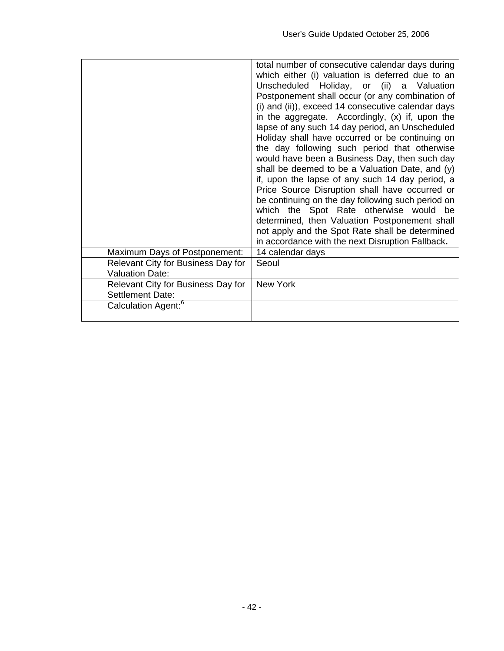| Maximum Days of Postponement:                                | total number of consecutive calendar days during<br>which either (i) valuation is deferred due to an<br>Unscheduled Holiday, or (ii) a Valuation<br>Postponement shall occur (or any combination of<br>(i) and (ii)), exceed 14 consecutive calendar days<br>in the aggregate. Accordingly, (x) if, upon the<br>lapse of any such 14 day period, an Unscheduled<br>Holiday shall have occurred or be continuing on<br>the day following such period that otherwise<br>would have been a Business Day, then such day<br>shall be deemed to be a Valuation Date, and (y)<br>if, upon the lapse of any such 14 day period, a<br>Price Source Disruption shall have occurred or<br>be continuing on the day following such period on<br>which the Spot Rate otherwise would be<br>determined, then Valuation Postponement shall<br>not apply and the Spot Rate shall be determined<br>in accordance with the next Disruption Fallback.<br>14 calendar days |
|--------------------------------------------------------------|--------------------------------------------------------------------------------------------------------------------------------------------------------------------------------------------------------------------------------------------------------------------------------------------------------------------------------------------------------------------------------------------------------------------------------------------------------------------------------------------------------------------------------------------------------------------------------------------------------------------------------------------------------------------------------------------------------------------------------------------------------------------------------------------------------------------------------------------------------------------------------------------------------------------------------------------------------|
| Relevant City for Business Day for<br><b>Valuation Date:</b> | Seoul                                                                                                                                                                                                                                                                                                                                                                                                                                                                                                                                                                                                                                                                                                                                                                                                                                                                                                                                                  |
| Relevant City for Business Day for<br>Settlement Date:       | <b>New York</b>                                                                                                                                                                                                                                                                                                                                                                                                                                                                                                                                                                                                                                                                                                                                                                                                                                                                                                                                        |
| Calculation Agent: <sup>6</sup>                              |                                                                                                                                                                                                                                                                                                                                                                                                                                                                                                                                                                                                                                                                                                                                                                                                                                                                                                                                                        |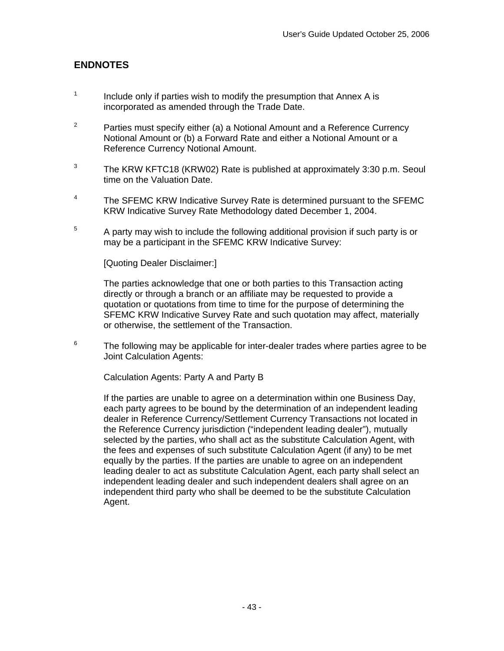# **ENDNOTES**

- 1 Include only if parties wish to modify the presumption that Annex A is incorporated as amended through the Trade Date.
- <sup>2</sup> Parties must specify either (a) a Notional Amount and a Reference Currency Notional Amount or (b) a Forward Rate and either a Notional Amount or a Reference Currency Notional Amount.
- $3$  The KRW KFTC18 (KRW02) Rate is published at approximately 3:30 p.m. Seoul time on the Valuation Date.
- $4$  The SFEMC KRW Indicative Survey Rate is determined pursuant to the SFEMC KRW Indicative Survey Rate Methodology dated December 1, 2004.
- $5 A$  party may wish to include the following additional provision if such party is or may be a participant in the SFEMC KRW Indicative Survey:

[Quoting Dealer Disclaimer:]

The parties acknowledge that one or both parties to this Transaction acting directly or through a branch or an affiliate may be requested to provide a quotation or quotations from time to time for the purpose of determining the SFEMC KRW Indicative Survey Rate and such quotation may affect, materially or otherwise, the settlement of the Transaction.

 $6$  The following may be applicable for inter-dealer trades where parties agree to be Joint Calculation Agents:

Calculation Agents: Party A and Party B

If the parties are unable to agree on a determination within one Business Day, each party agrees to be bound by the determination of an independent leading dealer in Reference Currency/Settlement Currency Transactions not located in the Reference Currency jurisdiction ("independent leading dealer"), mutually selected by the parties, who shall act as the substitute Calculation Agent, with the fees and expenses of such substitute Calculation Agent (if any) to be met equally by the parties. If the parties are unable to agree on an independent leading dealer to act as substitute Calculation Agent, each party shall select an independent leading dealer and such independent dealers shall agree on an independent third party who shall be deemed to be the substitute Calculation Agent.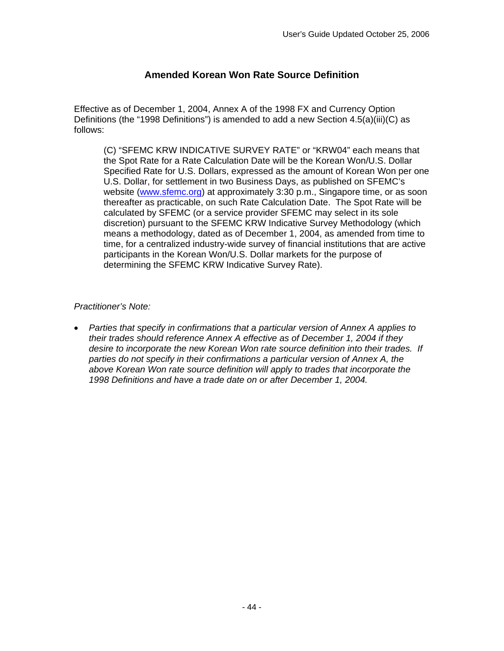# **Amended Korean Won Rate Source Definition**

<span id="page-43-0"></span>Effective as of December 1, 2004, Annex A of the 1998 FX and Currency Option Definitions (the "1998 Definitions") is amended to add a new Section  $4.5(a)(iii)(C)$  as follows:

(C) "SFEMC KRW INDICATIVE SURVEY RATE" or "KRW04" each means that the Spot Rate for a Rate Calculation Date will be the Korean Won/U.S. Dollar Specified Rate for U.S. Dollars, expressed as the amount of Korean Won per one U.S. Dollar, for settlement in two Business Days, as published on SFEMC's website [\(www.sfemc.org](http://www.sfemc.org/)) at approximately 3:30 p.m., Singapore time, or as soon thereafter as practicable, on such Rate Calculation Date. The Spot Rate will be calculated by SFEMC (or a service provider SFEMC may select in its sole discretion) pursuant to the SFEMC KRW Indicative Survey Methodology (which means a methodology, dated as of December 1, 2004, as amended from time to time, for a centralized industry-wide survey of financial institutions that are active participants in the Korean Won/U.S. Dollar markets for the purpose of determining the SFEMC KRW Indicative Survey Rate).

#### *Practitioner's Note:*

• *Parties that specify in confirmations that a particular version of Annex A applies to their trades should reference Annex A effective as of December 1, 2004 if they desire to incorporate the new Korean Won rate source definition into their trades. If parties do not specify in their confirmations a particular version of Annex A, the above Korean Won rate source definition will apply to trades that incorporate the 1998 Definitions and have a trade date on or after December 1, 2004.*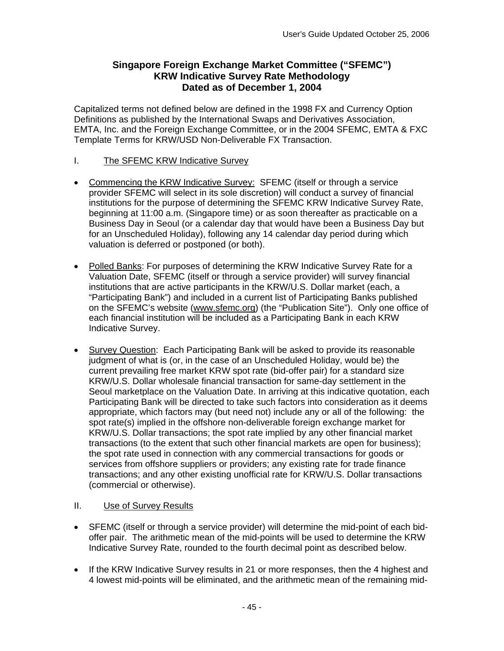# <span id="page-44-0"></span>**Singapore Foreign Exchange Market Committee ("SFEMC") KRW Indicative Survey Rate Methodology Dated as of December 1, 2004**

Capitalized terms not defined below are defined in the 1998 FX and Currency Option Definitions as published by the International Swaps and Derivatives Association, EMTA, Inc. and the Foreign Exchange Committee, or in the 2004 SFEMC, EMTA & FXC Template Terms for KRW/USD Non-Deliverable FX Transaction.

#### I. The SFEMC KRW Indicative Survey

- Commencing the KRW Indicative Survey: SFEMC (itself or through a service provider SFEMC will select in its sole discretion) will conduct a survey of financial institutions for the purpose of determining the SFEMC KRW Indicative Survey Rate, beginning at 11:00 a.m. (Singapore time) or as soon thereafter as practicable on a Business Day in Seoul (or a calendar day that would have been a Business Day but for an Unscheduled Holiday), following any 14 calendar day period during which valuation is deferred or postponed (or both).
- Polled Banks: For purposes of determining the KRW Indicative Survey Rate for a Valuation Date, SFEMC (itself or through a service provider) will survey financial institutions that are active participants in the KRW/U.S. Dollar market (each, a "Participating Bank") and included in a current list of Participating Banks published on the SFEMC's website [\(www.sfemc.org](http://www.sfemc.org/)) (the "Publication Site"). Only one office of each financial institution will be included as a Participating Bank in each KRW Indicative Survey.
- Survey Question: Each Participating Bank will be asked to provide its reasonable judgment of what is (or, in the case of an Unscheduled Holiday, would be) the current prevailing free market KRW spot rate (bid-offer pair) for a standard size KRW/U.S. Dollar wholesale financial transaction for same-day settlement in the Seoul marketplace on the Valuation Date. In arriving at this indicative quotation, each Participating Bank will be directed to take such factors into consideration as it deems appropriate, which factors may (but need not) include any or all of the following: the spot rate(s) implied in the offshore non-deliverable foreign exchange market for KRW/U.S. Dollar transactions; the spot rate implied by any other financial market transactions (to the extent that such other financial markets are open for business); the spot rate used in connection with any commercial transactions for goods or services from offshore suppliers or providers; any existing rate for trade finance transactions; and any other existing unofficial rate for KRW/U.S. Dollar transactions (commercial or otherwise).

#### II. Use of Survey Results

- SFEMC (itself or through a service provider) will determine the mid-point of each bidoffer pair. The arithmetic mean of the mid-points will be used to determine the KRW Indicative Survey Rate, rounded to the fourth decimal point as described below.
- If the KRW Indicative Survey results in 21 or more responses, then the 4 highest and 4 lowest mid-points will be eliminated, and the arithmetic mean of the remaining mid-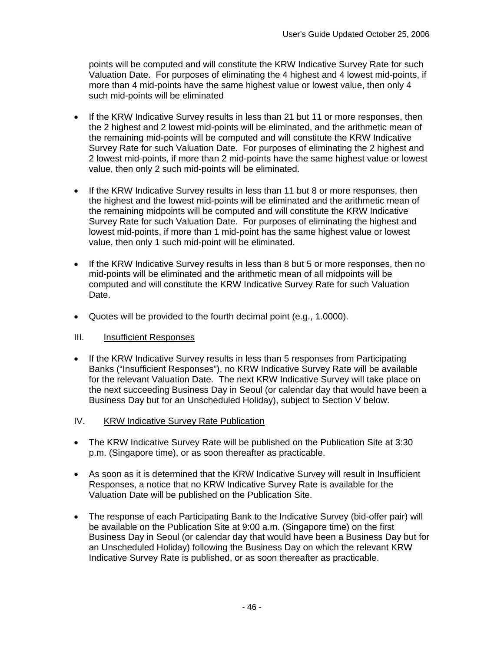points will be computed and will constitute the KRW Indicative Survey Rate for such Valuation Date. For purposes of eliminating the 4 highest and 4 lowest mid-points, if more than 4 mid-points have the same highest value or lowest value, then only 4 such mid-points will be eliminated

- If the KRW Indicative Survey results in less than 21 but 11 or more responses, then the 2 highest and 2 lowest mid-points will be eliminated, and the arithmetic mean of the remaining mid-points will be computed and will constitute the KRW Indicative Survey Rate for such Valuation Date. For purposes of eliminating the 2 highest and 2 lowest mid-points, if more than 2 mid-points have the same highest value or lowest value, then only 2 such mid-points will be eliminated.
- If the KRW Indicative Survey results in less than 11 but 8 or more responses, then the highest and the lowest mid-points will be eliminated and the arithmetic mean of the remaining midpoints will be computed and will constitute the KRW Indicative Survey Rate for such Valuation Date. For purposes of eliminating the highest and lowest mid-points, if more than 1 mid-point has the same highest value or lowest value, then only 1 such mid-point will be eliminated.
- If the KRW Indicative Survey results in less than 8 but 5 or more responses, then no mid-points will be eliminated and the arithmetic mean of all midpoints will be computed and will constitute the KRW Indicative Survey Rate for such Valuation Date.
- Quotes will be provided to the fourth decimal point (e.g., 1.0000).

## III. Insufficient Responses

- If the KRW Indicative Survey results in less than 5 responses from Participating Banks ("Insufficient Responses"), no KRW Indicative Survey Rate will be available for the relevant Valuation Date. The next KRW Indicative Survey will take place on the next succeeding Business Day in Seoul (or calendar day that would have been a Business Day but for an Unscheduled Holiday), subject to Section V below.
- IV. KRW Indicative Survey Rate Publication
- The KRW Indicative Survey Rate will be published on the Publication Site at 3:30 p.m. (Singapore time), or as soon thereafter as practicable.
- As soon as it is determined that the KRW Indicative Survey will result in Insufficient Responses, a notice that no KRW Indicative Survey Rate is available for the Valuation Date will be published on the Publication Site.
- The response of each Participating Bank to the Indicative Survey (bid-offer pair) will be available on the Publication Site at 9:00 a.m. (Singapore time) on the first Business Day in Seoul (or calendar day that would have been a Business Day but for an Unscheduled Holiday) following the Business Day on which the relevant KRW Indicative Survey Rate is published, or as soon thereafter as practicable.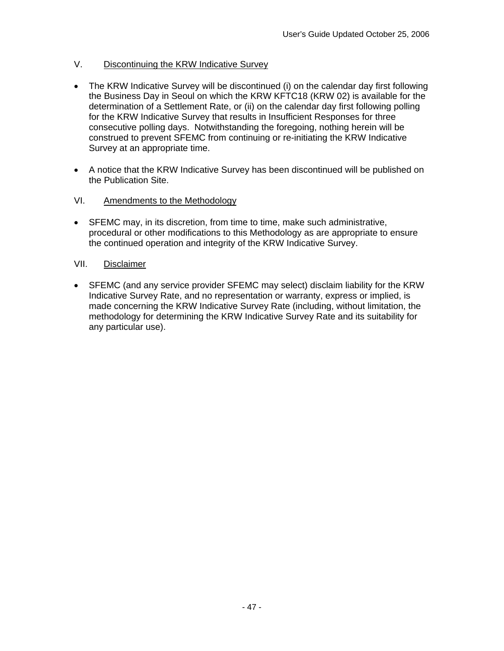#### V. Discontinuing the KRW Indicative Survey

- The KRW Indicative Survey will be discontinued (i) on the calendar day first following the Business Day in Seoul on which the KRW KFTC18 (KRW 02) is available for the determination of a Settlement Rate, or (ii) on the calendar day first following polling for the KRW Indicative Survey that results in Insufficient Responses for three consecutive polling days. Notwithstanding the foregoing, nothing herein will be construed to prevent SFEMC from continuing or re-initiating the KRW Indicative Survey at an appropriate time.
- A notice that the KRW Indicative Survey has been discontinued will be published on the Publication Site.

#### VI. Amendments to the Methodology

• SFEMC may, in its discretion, from time to time, make such administrative, procedural or other modifications to this Methodology as are appropriate to ensure the continued operation and integrity of the KRW Indicative Survey.

#### VII. Disclaimer

• SFEMC (and any service provider SFEMC may select) disclaim liability for the KRW Indicative Survey Rate, and no representation or warranty, express or implied, is made concerning the KRW Indicative Survey Rate (including, without limitation, the methodology for determining the KRW Indicative Survey Rate and its suitability for any particular use).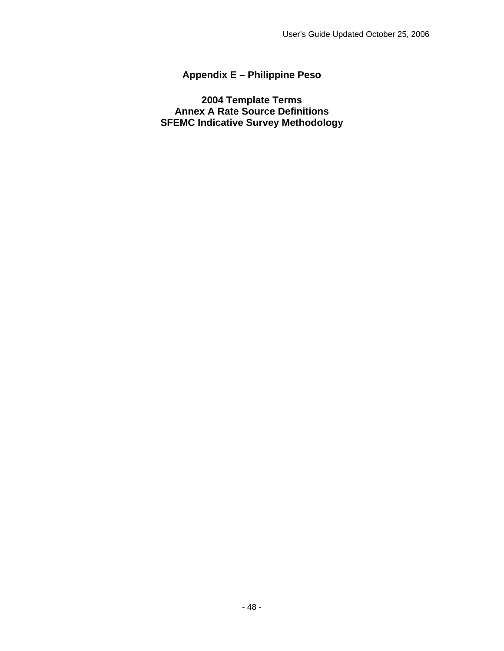# **Appendix E – Philippine Peso**

<span id="page-47-0"></span>**2004 Template Terms Annex A Rate Source Definitions SFEMC Indicative Survey Methodology**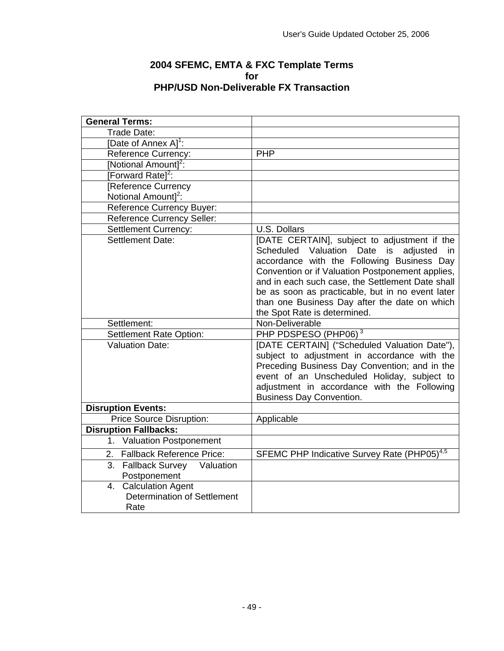#### **2004 SFEMC, EMTA & FXC Template Terms for PHP/USD Non-Deliverable FX Transaction**

<span id="page-48-0"></span>

| <b>General Terms:</b>                                              |                                                                                                                                                                                                                                                                                                                                                                                                          |
|--------------------------------------------------------------------|----------------------------------------------------------------------------------------------------------------------------------------------------------------------------------------------------------------------------------------------------------------------------------------------------------------------------------------------------------------------------------------------------------|
| Trade Date:                                                        |                                                                                                                                                                                                                                                                                                                                                                                                          |
| [Date of Annex A] <sup>1</sup> :                                   |                                                                                                                                                                                                                                                                                                                                                                                                          |
| Reference Currency:                                                | <b>PHP</b>                                                                                                                                                                                                                                                                                                                                                                                               |
| [Notional Amount] <sup>2</sup> :                                   |                                                                                                                                                                                                                                                                                                                                                                                                          |
| [Forward Rate] <sup>2</sup> :                                      |                                                                                                                                                                                                                                                                                                                                                                                                          |
| [Reference Currency                                                |                                                                                                                                                                                                                                                                                                                                                                                                          |
| Notional Amount] <sup>2</sup> :                                    |                                                                                                                                                                                                                                                                                                                                                                                                          |
| Reference Currency Buyer:                                          |                                                                                                                                                                                                                                                                                                                                                                                                          |
| <b>Reference Currency Seller:</b>                                  |                                                                                                                                                                                                                                                                                                                                                                                                          |
| <b>Settlement Currency:</b>                                        | U.S. Dollars                                                                                                                                                                                                                                                                                                                                                                                             |
| <b>Settlement Date:</b><br>Settlement:                             | [DATE CERTAIN], subject to adjustment if the<br>Scheduled Valuation Date is<br>adjusted in<br>accordance with the Following Business Day<br>Convention or if Valuation Postponement applies,<br>and in each such case, the Settlement Date shall<br>be as soon as practicable, but in no event later<br>than one Business Day after the date on which<br>the Spot Rate is determined.<br>Non-Deliverable |
| Settlement Rate Option:                                            | PHP PDSPESO (PHP06) <sup>3</sup>                                                                                                                                                                                                                                                                                                                                                                         |
| <b>Valuation Date:</b>                                             | [DATE CERTAIN] ("Scheduled Valuation Date"),<br>subject to adjustment in accordance with the<br>Preceding Business Day Convention; and in the<br>event of an Unscheduled Holiday, subject to<br>adjustment in accordance with the Following<br><b>Business Day Convention.</b>                                                                                                                           |
| <b>Disruption Events:</b>                                          |                                                                                                                                                                                                                                                                                                                                                                                                          |
| Price Source Disruption:                                           | Applicable                                                                                                                                                                                                                                                                                                                                                                                               |
| <b>Disruption Fallbacks:</b>                                       |                                                                                                                                                                                                                                                                                                                                                                                                          |
| 1. Valuation Postponement                                          |                                                                                                                                                                                                                                                                                                                                                                                                          |
| <b>Fallback Reference Price:</b><br>2.                             | SFEMC PHP Indicative Survey Rate (PHP05) <sup>4,5</sup>                                                                                                                                                                                                                                                                                                                                                  |
| 3. Fallback Survey<br>Valuation<br>Postponement                    |                                                                                                                                                                                                                                                                                                                                                                                                          |
| 4. Calculation Agent<br><b>Determination of Settlement</b><br>Rate |                                                                                                                                                                                                                                                                                                                                                                                                          |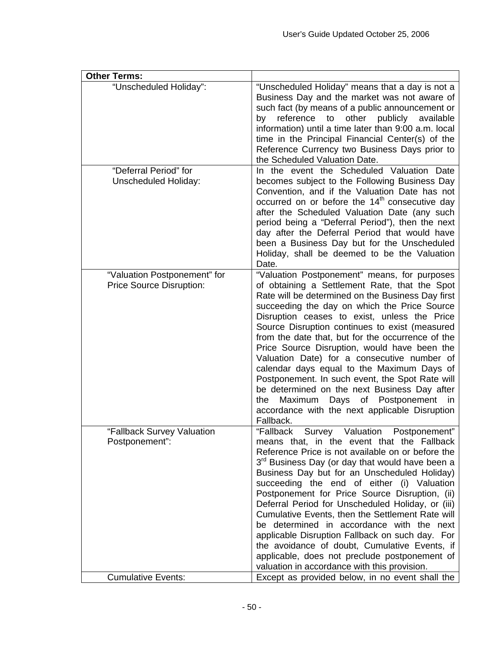| <b>Other Terms:</b>                                             |                                                                                                                                                                                                                                                                                                                                                                                                                                                                                                                                                                                                                                                                                                                                |
|-----------------------------------------------------------------|--------------------------------------------------------------------------------------------------------------------------------------------------------------------------------------------------------------------------------------------------------------------------------------------------------------------------------------------------------------------------------------------------------------------------------------------------------------------------------------------------------------------------------------------------------------------------------------------------------------------------------------------------------------------------------------------------------------------------------|
| "Unscheduled Holiday":                                          | "Unscheduled Holiday" means that a day is not a<br>Business Day and the market was not aware of<br>such fact (by means of a public announcement or<br>other publicly<br>by<br>reference<br>to<br>available<br>information) until a time later than 9:00 a.m. local<br>time in the Principal Financial Center(s) of the<br>Reference Currency two Business Days prior to<br>the Scheduled Valuation Date.                                                                                                                                                                                                                                                                                                                       |
| "Deferral Period" for<br>Unscheduled Holiday:                   | In the event the Scheduled Valuation Date<br>becomes subject to the Following Business Day<br>Convention, and if the Valuation Date has not<br>occurred on or before the 14 <sup>th</sup> consecutive day<br>after the Scheduled Valuation Date (any such<br>period being a "Deferral Period"), then the next<br>day after the Deferral Period that would have<br>been a Business Day but for the Unscheduled<br>Holiday, shall be deemed to be the Valuation<br>Date.                                                                                                                                                                                                                                                         |
| "Valuation Postponement" for<br><b>Price Source Disruption:</b> | "Valuation Postponement" means, for purposes<br>of obtaining a Settlement Rate, that the Spot<br>Rate will be determined on the Business Day first<br>succeeding the day on which the Price Source<br>Disruption ceases to exist, unless the Price<br>Source Disruption continues to exist (measured<br>from the date that, but for the occurrence of the<br>Price Source Disruption, would have been the<br>Valuation Date) for a consecutive number of<br>calendar days equal to the Maximum Days of<br>Postponement. In such event, the Spot Rate will<br>be determined on the next Business Day after<br>Days of Postponement<br>the<br>Maximum<br>in<br>accordance with the next applicable Disruption<br>Fallback.       |
| "Fallback Survey Valuation<br>Postponement":                    | "Fallback<br>Survey<br>Valuation<br>Postponement"<br>means that, in the event that the Fallback<br>Reference Price is not available on or before the<br>3 <sup>rd</sup> Business Day (or day that would have been a<br>Business Day but for an Unscheduled Holiday)<br>succeeding the end of either (i) Valuation<br>Postponement for Price Source Disruption, (ii)<br>Deferral Period for Unscheduled Holiday, or (iii)<br>Cumulative Events, then the Settlement Rate will<br>be determined in accordance with the next<br>applicable Disruption Fallback on such day. For<br>the avoidance of doubt, Cumulative Events, if<br>applicable, does not preclude postponement of<br>valuation in accordance with this provision. |
| <b>Cumulative Events:</b>                                       | Except as provided below, in no event shall the                                                                                                                                                                                                                                                                                                                                                                                                                                                                                                                                                                                                                                                                                |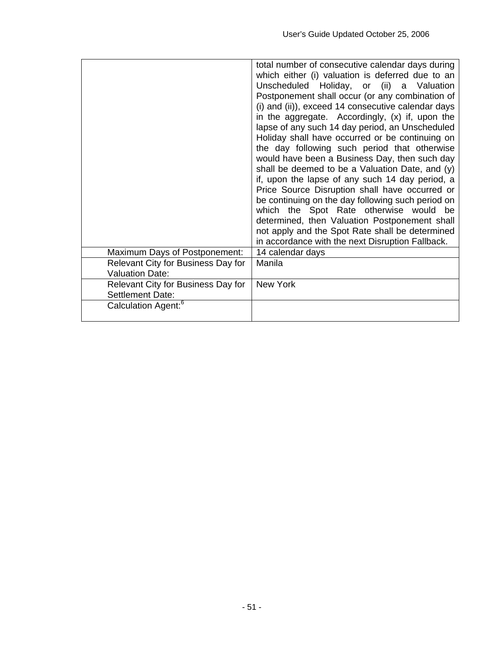|                                    | total number of consecutive calendar days during<br>which either (i) valuation is deferred due to an<br>Unscheduled Holiday, or (ii) a Valuation<br>Postponement shall occur (or any combination of<br>(i) and (ii)), exceed 14 consecutive calendar days<br>in the aggregate. Accordingly, (x) if, upon the<br>lapse of any such 14 day period, an Unscheduled<br>Holiday shall have occurred or be continuing on<br>the day following such period that otherwise<br>would have been a Business Day, then such day<br>shall be deemed to be a Valuation Date, and (y)<br>if, upon the lapse of any such 14 day period, a<br>Price Source Disruption shall have occurred or<br>be continuing on the day following such period on<br>which the Spot Rate otherwise would be<br>determined, then Valuation Postponement shall<br>not apply and the Spot Rate shall be determined<br>in accordance with the next Disruption Fallback. |
|------------------------------------|------------------------------------------------------------------------------------------------------------------------------------------------------------------------------------------------------------------------------------------------------------------------------------------------------------------------------------------------------------------------------------------------------------------------------------------------------------------------------------------------------------------------------------------------------------------------------------------------------------------------------------------------------------------------------------------------------------------------------------------------------------------------------------------------------------------------------------------------------------------------------------------------------------------------------------|
| Maximum Days of Postponement:      | 14 calendar days                                                                                                                                                                                                                                                                                                                                                                                                                                                                                                                                                                                                                                                                                                                                                                                                                                                                                                                   |
| Relevant City for Business Day for | Manila                                                                                                                                                                                                                                                                                                                                                                                                                                                                                                                                                                                                                                                                                                                                                                                                                                                                                                                             |
| <b>Valuation Date:</b>             |                                                                                                                                                                                                                                                                                                                                                                                                                                                                                                                                                                                                                                                                                                                                                                                                                                                                                                                                    |
| Relevant City for Business Day for | <b>New York</b>                                                                                                                                                                                                                                                                                                                                                                                                                                                                                                                                                                                                                                                                                                                                                                                                                                                                                                                    |
| <b>Settlement Date:</b>            |                                                                                                                                                                                                                                                                                                                                                                                                                                                                                                                                                                                                                                                                                                                                                                                                                                                                                                                                    |
| Calculation Agent: <sup>6</sup>    |                                                                                                                                                                                                                                                                                                                                                                                                                                                                                                                                                                                                                                                                                                                                                                                                                                                                                                                                    |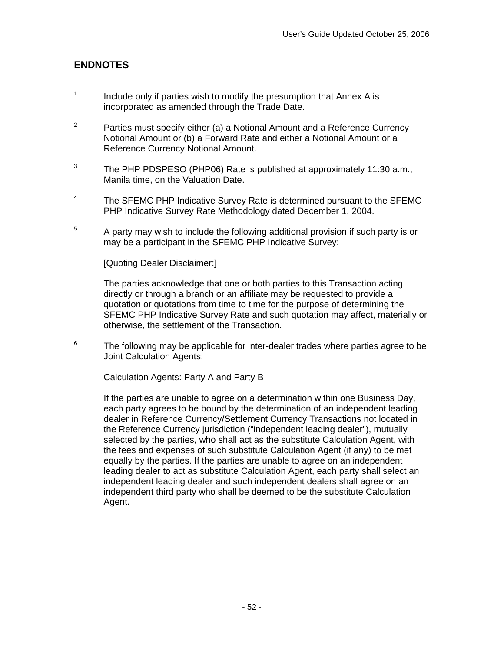# **ENDNOTES**

- 1 Include only if parties wish to modify the presumption that Annex A is incorporated as amended through the Trade Date.
- <sup>2</sup> Parties must specify either (a) a Notional Amount and a Reference Currency Notional Amount or (b) a Forward Rate and either a Notional Amount or a Reference Currency Notional Amount.
- $3$  The PHP PDSPESO (PHP06) Rate is published at approximately 11:30 a.m., Manila time, on the Valuation Date.
- $4 7$  The SFEMC PHP Indicative Survey Rate is determined pursuant to the SFEMC PHP Indicative Survey Rate Methodology dated December 1, 2004.
- 5 A party may wish to include the following additional provision if such party is or may be a participant in the SFEMC PHP Indicative Survey:

[Quoting Dealer Disclaimer:]

The parties acknowledge that one or both parties to this Transaction acting directly or through a branch or an affiliate may be requested to provide a quotation or quotations from time to time for the purpose of determining the SFEMC PHP Indicative Survey Rate and such quotation may affect, materially or otherwise, the settlement of the Transaction.

6 The following may be applicable for inter-dealer trades where parties agree to be Joint Calculation Agents:

Calculation Agents: Party A and Party B

If the parties are unable to agree on a determination within one Business Day, each party agrees to be bound by the determination of an independent leading dealer in Reference Currency/Settlement Currency Transactions not located in the Reference Currency jurisdiction ("independent leading dealer"), mutually selected by the parties, who shall act as the substitute Calculation Agent, with the fees and expenses of such substitute Calculation Agent (if any) to be met equally by the parties. If the parties are unable to agree on an independent leading dealer to act as substitute Calculation Agent, each party shall select an independent leading dealer and such independent dealers shall agree on an independent third party who shall be deemed to be the substitute Calculation Agent.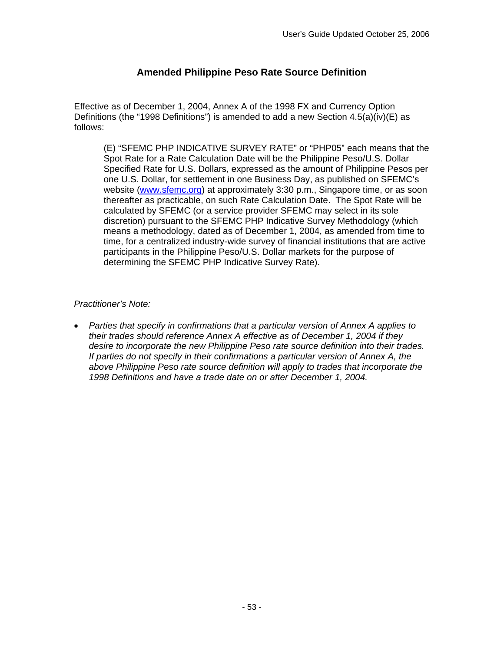# **Amended Philippine Peso Rate Source Definition**

<span id="page-52-0"></span>Effective as of December 1, 2004, Annex A of the 1998 FX and Currency Option Definitions (the "1998 Definitions") is amended to add a new Section  $4.5(a)(iv)(E)$  as follows:

(E) "SFEMC PHP INDICATIVE SURVEY RATE" or "PHP05" each means that the Spot Rate for a Rate Calculation Date will be the Philippine Peso/U.S. Dollar Specified Rate for U.S. Dollars, expressed as the amount of Philippine Pesos per one U.S. Dollar, for settlement in one Business Day, as published on SFEMC's website [\(www.sfemc.org](http://www.sfemc.org/)) at approximately 3:30 p.m., Singapore time, or as soon thereafter as practicable, on such Rate Calculation Date. The Spot Rate will be calculated by SFEMC (or a service provider SFEMC may select in its sole discretion) pursuant to the SFEMC PHP Indicative Survey Methodology (which means a methodology, dated as of December 1, 2004, as amended from time to time, for a centralized industry-wide survey of financial institutions that are active participants in the Philippine Peso/U.S. Dollar markets for the purpose of determining the SFEMC PHP Indicative Survey Rate).

## *Practitioner's Note:*

• *Parties that specify in confirmations that a particular version of Annex A applies to their trades should reference Annex A effective as of December 1, 2004 if they desire to incorporate the new Philippine Peso rate source definition into their trades. If parties do not specify in their confirmations a particular version of Annex A, the above Philippine Peso rate source definition will apply to trades that incorporate the 1998 Definitions and have a trade date on or after December 1, 2004.*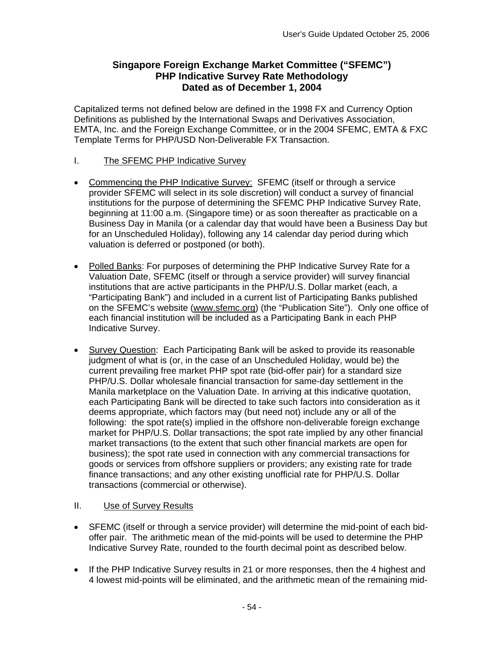# <span id="page-53-0"></span>**Singapore Foreign Exchange Market Committee ("SFEMC") PHP Indicative Survey Rate Methodology Dated as of December 1, 2004**

Capitalized terms not defined below are defined in the 1998 FX and Currency Option Definitions as published by the International Swaps and Derivatives Association, EMTA, Inc. and the Foreign Exchange Committee, or in the 2004 SFEMC, EMTA & FXC Template Terms for PHP/USD Non-Deliverable FX Transaction.

#### I. The SFEMC PHP Indicative Survey

- Commencing the PHP Indicative Survey: SFEMC (itself or through a service provider SFEMC will select in its sole discretion) will conduct a survey of financial institutions for the purpose of determining the SFEMC PHP Indicative Survey Rate, beginning at 11:00 a.m. (Singapore time) or as soon thereafter as practicable on a Business Day in Manila (or a calendar day that would have been a Business Day but for an Unscheduled Holiday), following any 14 calendar day period during which valuation is deferred or postponed (or both).
- Polled Banks: For purposes of determining the PHP Indicative Survey Rate for a Valuation Date, SFEMC (itself or through a service provider) will survey financial institutions that are active participants in the PHP/U.S. Dollar market (each, a "Participating Bank") and included in a current list of Participating Banks published on the SFEMC's website [\(www.sfemc.org](http://www.sfemc.org/)) (the "Publication Site"). Only one office of each financial institution will be included as a Participating Bank in each PHP Indicative Survey.
- Survey Question: Each Participating Bank will be asked to provide its reasonable judgment of what is (or, in the case of an Unscheduled Holiday, would be) the current prevailing free market PHP spot rate (bid-offer pair) for a standard size PHP/U.S. Dollar wholesale financial transaction for same-day settlement in the Manila marketplace on the Valuation Date. In arriving at this indicative quotation, each Participating Bank will be directed to take such factors into consideration as it deems appropriate, which factors may (but need not) include any or all of the following: the spot rate(s) implied in the offshore non-deliverable foreign exchange market for PHP/U.S. Dollar transactions; the spot rate implied by any other financial market transactions (to the extent that such other financial markets are open for business); the spot rate used in connection with any commercial transactions for goods or services from offshore suppliers or providers; any existing rate for trade finance transactions; and any other existing unofficial rate for PHP/U.S. Dollar transactions (commercial or otherwise).

## II. Use of Survey Results

- SFEMC (itself or through a service provider) will determine the mid-point of each bidoffer pair. The arithmetic mean of the mid-points will be used to determine the PHP Indicative Survey Rate, rounded to the fourth decimal point as described below.
- If the PHP Indicative Survey results in 21 or more responses, then the 4 highest and 4 lowest mid-points will be eliminated, and the arithmetic mean of the remaining mid-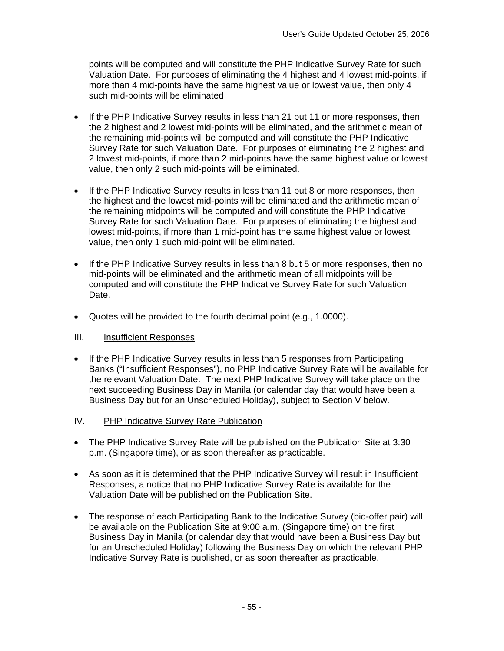points will be computed and will constitute the PHP Indicative Survey Rate for such Valuation Date. For purposes of eliminating the 4 highest and 4 lowest mid-points, if more than 4 mid-points have the same highest value or lowest value, then only 4 such mid-points will be eliminated

- If the PHP Indicative Survey results in less than 21 but 11 or more responses, then the 2 highest and 2 lowest mid-points will be eliminated, and the arithmetic mean of the remaining mid-points will be computed and will constitute the PHP Indicative Survey Rate for such Valuation Date. For purposes of eliminating the 2 highest and 2 lowest mid-points, if more than 2 mid-points have the same highest value or lowest value, then only 2 such mid-points will be eliminated.
- If the PHP Indicative Survey results in less than 11 but 8 or more responses, then the highest and the lowest mid-points will be eliminated and the arithmetic mean of the remaining midpoints will be computed and will constitute the PHP Indicative Survey Rate for such Valuation Date. For purposes of eliminating the highest and lowest mid-points, if more than 1 mid-point has the same highest value or lowest value, then only 1 such mid-point will be eliminated.
- If the PHP Indicative Survey results in less than 8 but 5 or more responses, then no mid-points will be eliminated and the arithmetic mean of all midpoints will be computed and will constitute the PHP Indicative Survey Rate for such Valuation Date.
- Quotes will be provided to the fourth decimal point (e.g., 1.0000).

#### III. Insufficient Responses

- If the PHP Indicative Survey results in less than 5 responses from Participating Banks ("Insufficient Responses"), no PHP Indicative Survey Rate will be available for the relevant Valuation Date. The next PHP Indicative Survey will take place on the next succeeding Business Day in Manila (or calendar day that would have been a Business Day but for an Unscheduled Holiday), subject to Section V below.
- IV. PHP Indicative Survey Rate Publication
- The PHP Indicative Survey Rate will be published on the Publication Site at 3:30 p.m. (Singapore time), or as soon thereafter as practicable.
- As soon as it is determined that the PHP Indicative Survey will result in Insufficient Responses, a notice that no PHP Indicative Survey Rate is available for the Valuation Date will be published on the Publication Site.
- The response of each Participating Bank to the Indicative Survey (bid-offer pair) will be available on the Publication Site at 9:00 a.m. (Singapore time) on the first Business Day in Manila (or calendar day that would have been a Business Day but for an Unscheduled Holiday) following the Business Day on which the relevant PHP Indicative Survey Rate is published, or as soon thereafter as practicable.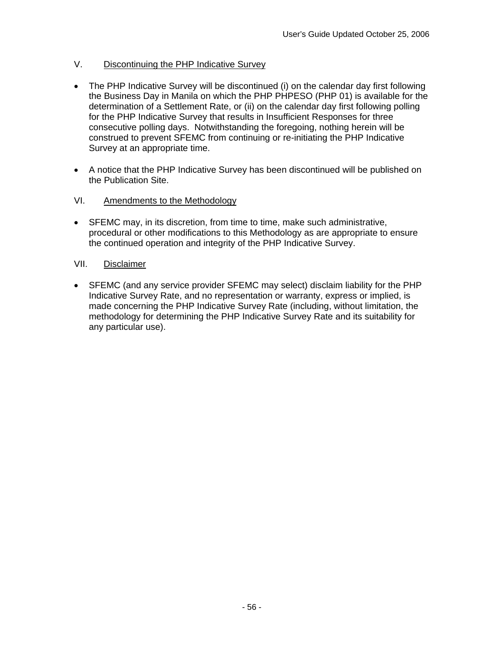## V. Discontinuing the PHP Indicative Survey

- The PHP Indicative Survey will be discontinued (i) on the calendar day first following the Business Day in Manila on which the PHP PHPESO (PHP 01) is available for the determination of a Settlement Rate, or (ii) on the calendar day first following polling for the PHP Indicative Survey that results in Insufficient Responses for three consecutive polling days. Notwithstanding the foregoing, nothing herein will be construed to prevent SFEMC from continuing or re-initiating the PHP Indicative Survey at an appropriate time.
- A notice that the PHP Indicative Survey has been discontinued will be published on the Publication Site.

#### VI. Amendments to the Methodology

• SFEMC may, in its discretion, from time to time, make such administrative, procedural or other modifications to this Methodology as are appropriate to ensure the continued operation and integrity of the PHP Indicative Survey.

#### VII. Disclaimer

• SFEMC (and any service provider SFEMC may select) disclaim liability for the PHP Indicative Survey Rate, and no representation or warranty, express or implied, is made concerning the PHP Indicative Survey Rate (including, without limitation, the methodology for determining the PHP Indicative Survey Rate and its suitability for any particular use).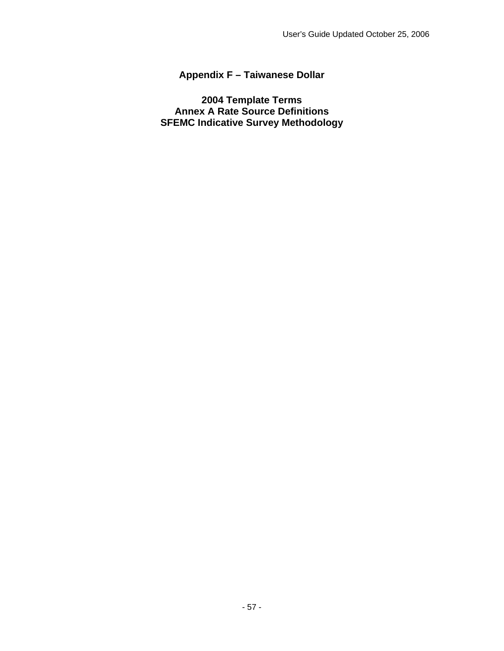# **Appendix F – Taiwanese Dollar**

<span id="page-56-0"></span>**2004 Template Terms Annex A Rate Source Definitions SFEMC Indicative Survey Methodology**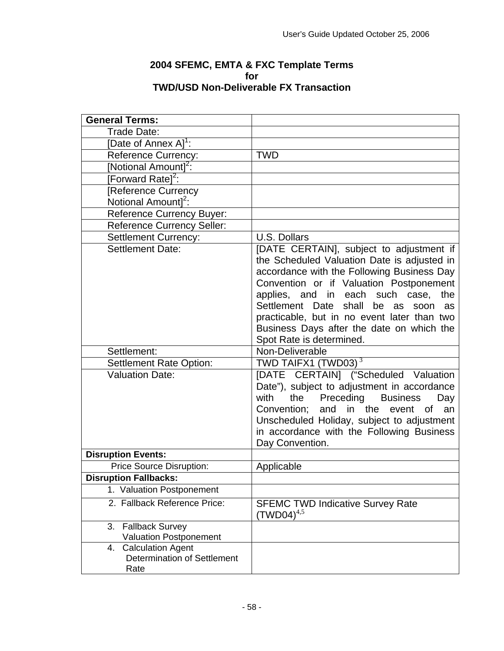#### **2004 SFEMC, EMTA & FXC Template Terms for TWD/USD Non-Deliverable FX Transaction**

<span id="page-57-0"></span>

| <b>General Terms:</b>                                                        |                                                                                                                                                                                                                                                                                                                                                                                                       |
|------------------------------------------------------------------------------|-------------------------------------------------------------------------------------------------------------------------------------------------------------------------------------------------------------------------------------------------------------------------------------------------------------------------------------------------------------------------------------------------------|
| Trade Date:                                                                  |                                                                                                                                                                                                                                                                                                                                                                                                       |
| [Date of Annex A] <sup>1</sup> :                                             |                                                                                                                                                                                                                                                                                                                                                                                                       |
| <b>Reference Currency:</b>                                                   | <b>TWD</b>                                                                                                                                                                                                                                                                                                                                                                                            |
| [Notional Amount] <sup>2</sup> :                                             |                                                                                                                                                                                                                                                                                                                                                                                                       |
| [Forward Rate] <sup>2</sup> :                                                |                                                                                                                                                                                                                                                                                                                                                                                                       |
| [Reference Currency                                                          |                                                                                                                                                                                                                                                                                                                                                                                                       |
| Notional Amount] <sup>2</sup> :                                              |                                                                                                                                                                                                                                                                                                                                                                                                       |
| Reference Currency Buyer:                                                    |                                                                                                                                                                                                                                                                                                                                                                                                       |
| <b>Reference Currency Seller:</b>                                            |                                                                                                                                                                                                                                                                                                                                                                                                       |
| <b>Settlement Currency:</b>                                                  | U.S. Dollars                                                                                                                                                                                                                                                                                                                                                                                          |
| <b>Settlement Date:</b>                                                      | [DATE CERTAIN], subject to adjustment if<br>the Scheduled Valuation Date is adjusted in<br>accordance with the Following Business Day<br>Convention or if Valuation Postponement<br>applies, and in each such case,<br>the<br>Settlement Date<br>shall<br>be as<br>soon<br>as<br>practicable, but in no event later than two<br>Business Days after the date on which the<br>Spot Rate is determined. |
| Settlement:                                                                  | Non-Deliverable                                                                                                                                                                                                                                                                                                                                                                                       |
| <b>Settlement Rate Option:</b>                                               | TWD TAIFX1 (TWD03) <sup>3</sup>                                                                                                                                                                                                                                                                                                                                                                       |
| <b>Valuation Date:</b>                                                       | [DATE CERTAIN] ("Scheduled Valuation<br>Date"), subject to adjustment in accordance<br>with<br>Preceding<br><b>Business</b><br>the<br>Day<br>and<br>in the<br>Convention;<br>event<br><b>of</b><br>an<br>Unscheduled Holiday, subject to adjustment<br>in accordance with the Following Business<br>Day Convention.                                                                                   |
| <b>Disruption Events:</b>                                                    |                                                                                                                                                                                                                                                                                                                                                                                                       |
| Price Source Disruption:                                                     | Applicable                                                                                                                                                                                                                                                                                                                                                                                            |
| <b>Disruption Fallbacks:</b>                                                 |                                                                                                                                                                                                                                                                                                                                                                                                       |
| 1. Valuation Postponement                                                    |                                                                                                                                                                                                                                                                                                                                                                                                       |
| 2. Fallback Reference Price:                                                 | <b>SFEMC TWD Indicative Survey Rate</b><br>$(TWD04)^{4,5}$                                                                                                                                                                                                                                                                                                                                            |
| <b>Fallback Survey</b><br>3.                                                 |                                                                                                                                                                                                                                                                                                                                                                                                       |
| <b>Valuation Postponement</b>                                                |                                                                                                                                                                                                                                                                                                                                                                                                       |
| <b>Calculation Agent</b><br>4.<br><b>Determination of Settlement</b><br>Rate |                                                                                                                                                                                                                                                                                                                                                                                                       |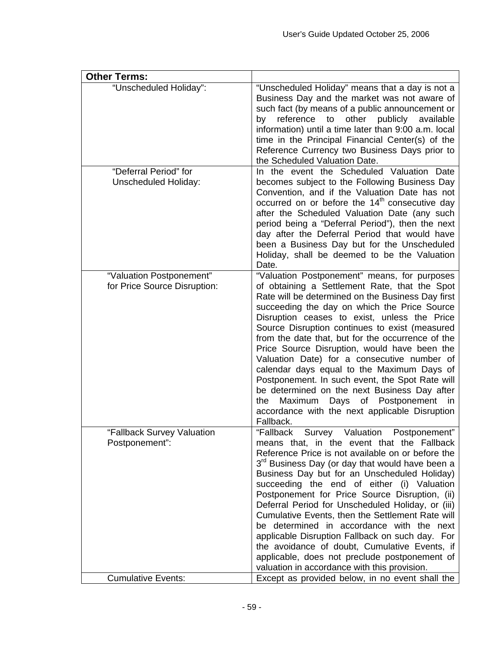| <b>Other Terms:</b>                                      |                                                                                                                                                                                                                                                                                                                                                                                                                                                                                                                                                                                                                                                                                                                           |
|----------------------------------------------------------|---------------------------------------------------------------------------------------------------------------------------------------------------------------------------------------------------------------------------------------------------------------------------------------------------------------------------------------------------------------------------------------------------------------------------------------------------------------------------------------------------------------------------------------------------------------------------------------------------------------------------------------------------------------------------------------------------------------------------|
| "Unscheduled Holiday":                                   | "Unscheduled Holiday" means that a day is not a<br>Business Day and the market was not aware of<br>such fact (by means of a public announcement or<br>reference<br>other<br>publicly available<br>by<br>to<br>information) until a time later than 9:00 a.m. local<br>time in the Principal Financial Center(s) of the<br>Reference Currency two Business Days prior to<br>the Scheduled Valuation Date.                                                                                                                                                                                                                                                                                                                  |
| "Deferral Period" for<br><b>Unscheduled Holiday:</b>     | In the event the Scheduled Valuation Date<br>becomes subject to the Following Business Day<br>Convention, and if the Valuation Date has not<br>occurred on or before the 14 <sup>th</sup> consecutive day<br>after the Scheduled Valuation Date (any such<br>period being a "Deferral Period"), then the next<br>day after the Deferral Period that would have<br>been a Business Day but for the Unscheduled<br>Holiday, shall be deemed to be the Valuation<br>Date.                                                                                                                                                                                                                                                    |
| "Valuation Postponement"<br>for Price Source Disruption: | "Valuation Postponement" means, for purposes<br>of obtaining a Settlement Rate, that the Spot<br>Rate will be determined on the Business Day first<br>succeeding the day on which the Price Source<br>Disruption ceases to exist, unless the Price<br>Source Disruption continues to exist (measured<br>from the date that, but for the occurrence of the<br>Price Source Disruption, would have been the<br>Valuation Date) for a consecutive number of<br>calendar days equal to the Maximum Days of<br>Postponement. In such event, the Spot Rate will<br>be determined on the next Business Day after<br>Days of Postponement<br>Maximum<br>the<br>in.<br>accordance with the next applicable Disruption<br>Fallback. |
| "Fallback Survey Valuation<br>Postponement":             | "Fallback<br>Survey<br>Valuation<br>Postponement"<br>means that, in the event that the Fallback<br>Reference Price is not available on or before the<br>3 <sup>rd</sup> Business Day (or day that would have been a<br>Business Day but for an Unscheduled Holiday)<br>succeeding the end of either (i) Valuation<br>Postponement for Price Source Disruption, (ii)<br>Deferral Period for Unscheduled Holiday, or (iii)<br>Cumulative Events, then the Settlement Rate will<br>be determined in accordance with the next<br>applicable Disruption Fallback on such day. For<br>the avoidance of doubt, Cumulative Events, if<br>applicable, does not preclude postponement of                                            |
| <b>Cumulative Events:</b>                                | valuation in accordance with this provision.<br>Except as provided below, in no event shall the                                                                                                                                                                                                                                                                                                                                                                                                                                                                                                                                                                                                                           |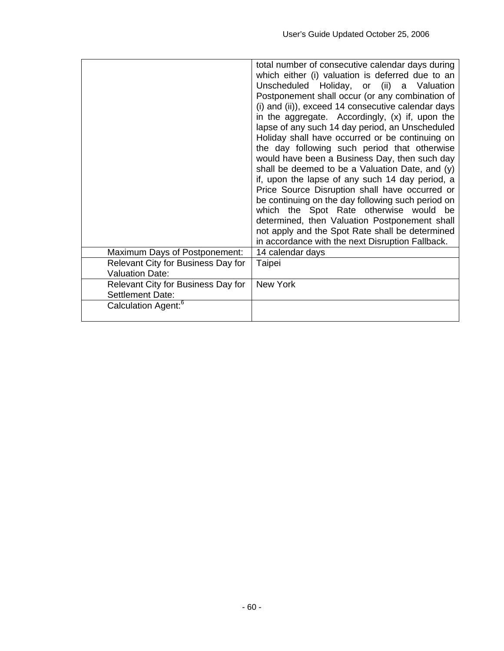|                                                               | total number of consecutive calendar days during<br>which either (i) valuation is deferred due to an<br>Unscheduled Holiday, or (ii) a Valuation<br>Postponement shall occur (or any combination of<br>(i) and (ii)), exceed 14 consecutive calendar days<br>in the aggregate. Accordingly, (x) if, upon the<br>lapse of any such 14 day period, an Unscheduled<br>Holiday shall have occurred or be continuing on<br>the day following such period that otherwise<br>would have been a Business Day, then such day<br>shall be deemed to be a Valuation Date, and (y)<br>if, upon the lapse of any such 14 day period, a<br>Price Source Disruption shall have occurred or<br>be continuing on the day following such period on<br>which the Spot Rate otherwise would be<br>determined, then Valuation Postponement shall<br>not apply and the Spot Rate shall be determined<br>in accordance with the next Disruption Fallback. |
|---------------------------------------------------------------|------------------------------------------------------------------------------------------------------------------------------------------------------------------------------------------------------------------------------------------------------------------------------------------------------------------------------------------------------------------------------------------------------------------------------------------------------------------------------------------------------------------------------------------------------------------------------------------------------------------------------------------------------------------------------------------------------------------------------------------------------------------------------------------------------------------------------------------------------------------------------------------------------------------------------------|
| Maximum Days of Postponement:                                 | 14 calendar days                                                                                                                                                                                                                                                                                                                                                                                                                                                                                                                                                                                                                                                                                                                                                                                                                                                                                                                   |
| Relevant City for Business Day for<br><b>Valuation Date:</b>  | Taipei                                                                                                                                                                                                                                                                                                                                                                                                                                                                                                                                                                                                                                                                                                                                                                                                                                                                                                                             |
| Relevant City for Business Day for<br><b>Settlement Date:</b> | <b>New York</b>                                                                                                                                                                                                                                                                                                                                                                                                                                                                                                                                                                                                                                                                                                                                                                                                                                                                                                                    |
| Calculation Agent: <sup>6</sup>                               |                                                                                                                                                                                                                                                                                                                                                                                                                                                                                                                                                                                                                                                                                                                                                                                                                                                                                                                                    |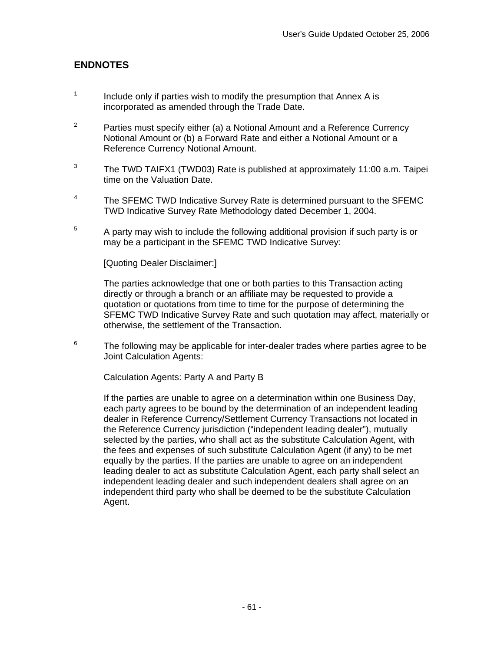# **ENDNOTES**

- 1 Include only if parties wish to modify the presumption that Annex A is incorporated as amended through the Trade Date.
- <sup>2</sup> Parties must specify either (a) a Notional Amount and a Reference Currency Notional Amount or (b) a Forward Rate and either a Notional Amount or a Reference Currency Notional Amount.
- $3$  The TWD TAIFX1 (TWD03) Rate is published at approximately 11:00 a.m. Taipei time on the Valuation Date.
- $4$  The SFEMC TWD Indicative Survey Rate is determined pursuant to the SFEMC TWD Indicative Survey Rate Methodology dated December 1, 2004.
- $5 A$  party may wish to include the following additional provision if such party is or may be a participant in the SFEMC TWD Indicative Survey:

[Quoting Dealer Disclaimer:]

The parties acknowledge that one or both parties to this Transaction acting directly or through a branch or an affiliate may be requested to provide a quotation or quotations from time to time for the purpose of determining the SFEMC TWD Indicative Survey Rate and such quotation may affect, materially or otherwise, the settlement of the Transaction.

 $6$  The following may be applicable for inter-dealer trades where parties agree to be Joint Calculation Agents:

Calculation Agents: Party A and Party B

If the parties are unable to agree on a determination within one Business Day, each party agrees to be bound by the determination of an independent leading dealer in Reference Currency/Settlement Currency Transactions not located in the Reference Currency jurisdiction ("independent leading dealer"), mutually selected by the parties, who shall act as the substitute Calculation Agent, with the fees and expenses of such substitute Calculation Agent (if any) to be met equally by the parties. If the parties are unable to agree on an independent leading dealer to act as substitute Calculation Agent, each party shall select an independent leading dealer and such independent dealers shall agree on an independent third party who shall be deemed to be the substitute Calculation Agent.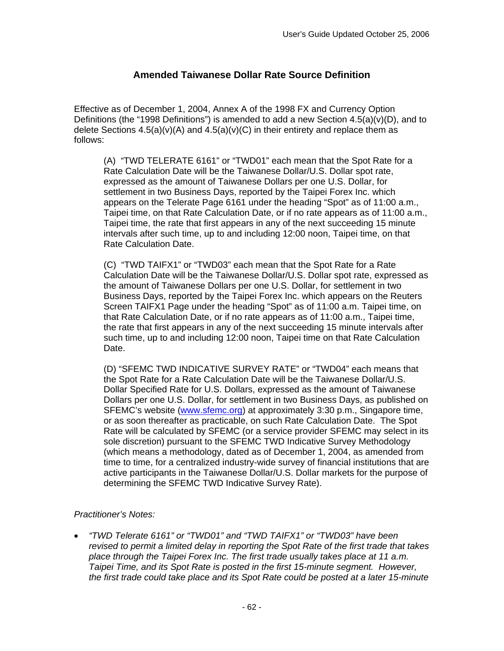# **Amended Taiwanese Dollar Rate Source Definition**

<span id="page-61-0"></span>Effective as of December 1, 2004, Annex A of the 1998 FX and Currency Option Definitions (the "1998 Definitions") is amended to add a new Section  $4.5(a)(v)(D)$ , and to delete Sections  $4.5(a)(v)(A)$  and  $4.5(a)(v)(C)$  in their entirety and replace them as follows:

(A) "TWD TELERATE 6161" or "TWD01" each mean that the Spot Rate for a Rate Calculation Date will be the Taiwanese Dollar/U.S. Dollar spot rate, expressed as the amount of Taiwanese Dollars per one U.S. Dollar, for settlement in two Business Days, reported by the Taipei Forex Inc. which appears on the Telerate Page 6161 under the heading "Spot" as of 11:00 a.m., Taipei time, on that Rate Calculation Date, or if no rate appears as of 11:00 a.m., Taipei time, the rate that first appears in any of the next succeeding 15 minute intervals after such time, up to and including 12:00 noon, Taipei time, on that Rate Calculation Date.

(C) "TWD TAIFX1" or "TWD03" each mean that the Spot Rate for a Rate Calculation Date will be the Taiwanese Dollar/U.S. Dollar spot rate, expressed as the amount of Taiwanese Dollars per one U.S. Dollar, for settlement in two Business Days, reported by the Taipei Forex Inc. which appears on the Reuters Screen TAIFX1 Page under the heading "Spot" as of 11:00 a.m. Taipei time, on that Rate Calculation Date, or if no rate appears as of 11:00 a.m., Taipei time, the rate that first appears in any of the next succeeding 15 minute intervals after such time, up to and including 12:00 noon, Taipei time on that Rate Calculation Date.

(D) "SFEMC TWD INDICATIVE SURVEY RATE" or "TWD04" each means that the Spot Rate for a Rate Calculation Date will be the Taiwanese Dollar/U.S. Dollar Specified Rate for U.S. Dollars, expressed as the amount of Taiwanese Dollars per one U.S. Dollar, for settlement in two Business Days, as published on SFEMC's website [\(www.sfemc.org\)](http://www.sfemc.org/) at approximately 3:30 p.m., Singapore time, or as soon thereafter as practicable, on such Rate Calculation Date. The Spot Rate will be calculated by SFEMC (or a service provider SFEMC may select in its sole discretion) pursuant to the SFEMC TWD Indicative Survey Methodology (which means a methodology, dated as of December 1, 2004, as amended from time to time, for a centralized industry-wide survey of financial institutions that are active participants in the Taiwanese Dollar/U.S. Dollar markets for the purpose of determining the SFEMC TWD Indicative Survey Rate).

#### *Practitioner's Notes:*

• *"TWD Telerate 6161" or "TWD01" and "TWD TAIFX1" or "TWD03" have been revised to permit a limited delay in reporting the Spot Rate of the first trade that takes place through the Taipei Forex Inc. The first trade usually takes place at 11 a.m. Taipei Time, and its Spot Rate is posted in the first 15-minute segment. However, the first trade could take place and its Spot Rate could be posted at a later 15-minute*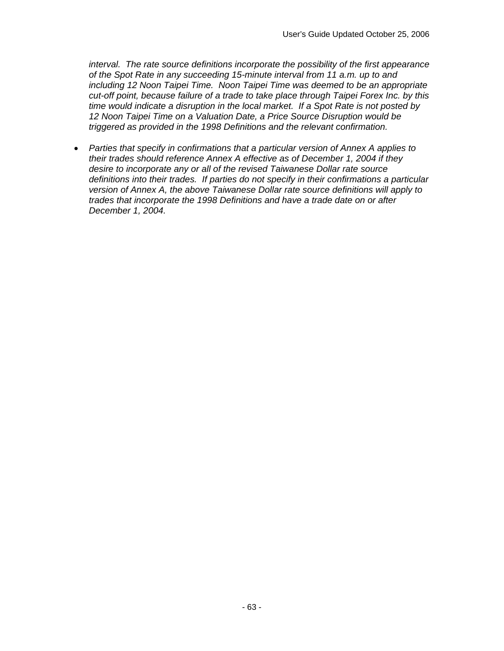*interval. The rate source definitions incorporate the possibility of the first appearance of the Spot Rate in any succeeding 15-minute interval from 11 a.m. up to and including 12 Noon Taipei Time. Noon Taipei Time was deemed to be an appropriate cut-off point, because failure of a trade to take place through Taipei Forex Inc. by this time would indicate a disruption in the local market. If a Spot Rate is not posted by 12 Noon Taipei Time on a Valuation Date, a Price Source Disruption would be triggered as provided in the 1998 Definitions and the relevant confirmation.* 

• *Parties that specify in confirmations that a particular version of Annex A applies to their trades should reference Annex A effective as of December 1, 2004 if they desire to incorporate any or all of the revised Taiwanese Dollar rate source definitions into their trades. If parties do not specify in their confirmations a particular version of Annex A, the above Taiwanese Dollar rate source definitions will apply to trades that incorporate the 1998 Definitions and have a trade date on or after December 1, 2004.*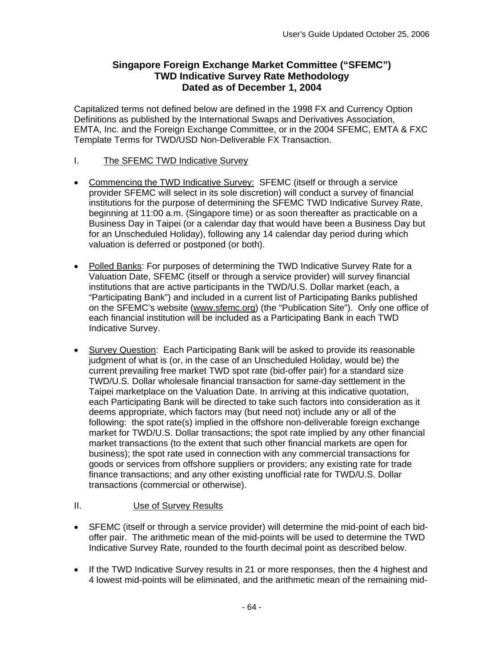# <span id="page-63-0"></span>**Singapore Foreign Exchange Market Committee ("SFEMC") TWD Indicative Survey Rate Methodology Dated as of December 1, 2004**

Capitalized terms not defined below are defined in the 1998 FX and Currency Option Definitions as published by the International Swaps and Derivatives Association, EMTA, Inc. and the Foreign Exchange Committee, or in the 2004 SFEMC, EMTA & FXC Template Terms for TWD/USD Non-Deliverable FX Transaction.

#### I. The SFEMC TWD Indicative Survey

- Commencing the TWD Indicative Survey: SFEMC (itself or through a service provider SFEMC will select in its sole discretion) will conduct a survey of financial institutions for the purpose of determining the SFEMC TWD Indicative Survey Rate, beginning at 11:00 a.m. (Singapore time) or as soon thereafter as practicable on a Business Day in Taipei (or a calendar day that would have been a Business Day but for an Unscheduled Holiday), following any 14 calendar day period during which valuation is deferred or postponed (or both).
- Polled Banks: For purposes of determining the TWD Indicative Survey Rate for a Valuation Date, SFEMC (itself or through a service provider) will survey financial institutions that are active participants in the TWD/U.S. Dollar market (each, a "Participating Bank") and included in a current list of Participating Banks published on the SFEMC's website [\(www.sfemc.org](http://www.sfemc.org/)) (the "Publication Site"). Only one office of each financial institution will be included as a Participating Bank in each TWD Indicative Survey.
- Survey Question: Each Participating Bank will be asked to provide its reasonable judgment of what is (or, in the case of an Unscheduled Holiday, would be) the current prevailing free market TWD spot rate (bid-offer pair) for a standard size TWD/U.S. Dollar wholesale financial transaction for same-day settlement in the Taipei marketplace on the Valuation Date. In arriving at this indicative quotation, each Participating Bank will be directed to take such factors into consideration as it deems appropriate, which factors may (but need not) include any or all of the following: the spot rate(s) implied in the offshore non-deliverable foreign exchange market for TWD/U.S. Dollar transactions; the spot rate implied by any other financial market transactions (to the extent that such other financial markets are open for business); the spot rate used in connection with any commercial transactions for goods or services from offshore suppliers or providers; any existing rate for trade finance transactions; and any other existing unofficial rate for TWD/U.S. Dollar transactions (commercial or otherwise).

## II. Use of Survey Results

- SFEMC (itself or through a service provider) will determine the mid-point of each bidoffer pair. The arithmetic mean of the mid-points will be used to determine the TWD Indicative Survey Rate, rounded to the fourth decimal point as described below.
- If the TWD Indicative Survey results in 21 or more responses, then the 4 highest and 4 lowest mid-points will be eliminated, and the arithmetic mean of the remaining mid-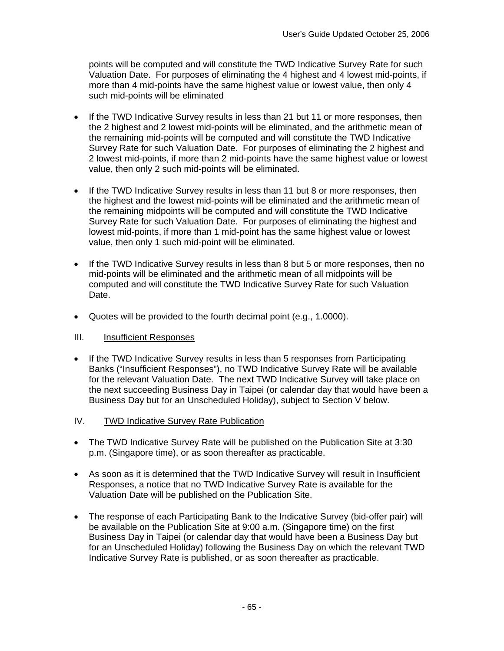points will be computed and will constitute the TWD Indicative Survey Rate for such Valuation Date. For purposes of eliminating the 4 highest and 4 lowest mid-points, if more than 4 mid-points have the same highest value or lowest value, then only 4 such mid-points will be eliminated

- If the TWD Indicative Survey results in less than 21 but 11 or more responses, then the 2 highest and 2 lowest mid-points will be eliminated, and the arithmetic mean of the remaining mid-points will be computed and will constitute the TWD Indicative Survey Rate for such Valuation Date. For purposes of eliminating the 2 highest and 2 lowest mid-points, if more than 2 mid-points have the same highest value or lowest value, then only 2 such mid-points will be eliminated.
- If the TWD Indicative Survey results in less than 11 but 8 or more responses, then the highest and the lowest mid-points will be eliminated and the arithmetic mean of the remaining midpoints will be computed and will constitute the TWD Indicative Survey Rate for such Valuation Date. For purposes of eliminating the highest and lowest mid-points, if more than 1 mid-point has the same highest value or lowest value, then only 1 such mid-point will be eliminated.
- If the TWD Indicative Survey results in less than 8 but 5 or more responses, then no mid-points will be eliminated and the arithmetic mean of all midpoints will be computed and will constitute the TWD Indicative Survey Rate for such Valuation Date.
- Quotes will be provided to the fourth decimal point (e.g., 1.0000).

#### III. Insufficient Responses

- If the TWD Indicative Survey results in less than 5 responses from Participating Banks ("Insufficient Responses"), no TWD Indicative Survey Rate will be available for the relevant Valuation Date. The next TWD Indicative Survey will take place on the next succeeding Business Day in Taipei (or calendar day that would have been a Business Day but for an Unscheduled Holiday), subject to Section V below.
- IV. TWD Indicative Survey Rate Publication
- The TWD Indicative Survey Rate will be published on the Publication Site at 3:30 p.m. (Singapore time), or as soon thereafter as practicable.
- As soon as it is determined that the TWD Indicative Survey will result in Insufficient Responses, a notice that no TWD Indicative Survey Rate is available for the Valuation Date will be published on the Publication Site.
- The response of each Participating Bank to the Indicative Survey (bid-offer pair) will be available on the Publication Site at 9:00 a.m. (Singapore time) on the first Business Day in Taipei (or calendar day that would have been a Business Day but for an Unscheduled Holiday) following the Business Day on which the relevant TWD Indicative Survey Rate is published, or as soon thereafter as practicable.